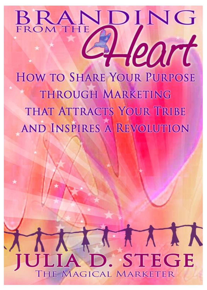# BRANDING eart

**HOW TO SHARE YOUR PURPOSE** THROUGH MARKETING THAT ATTRACTS YOUR TRIBE **AND INSPIRES A REVOLUTION** 

## LATTER JLIA D. STEGE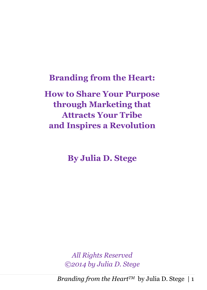**Branding from the Heart:**

**How to Share Your Purpose through Marketing that Attracts Your Tribe and Inspires a Revolution**

**By Julia D. Stege**

*All Rights Reserved ©2014 by Julia D. Stege*

*Branding from the Heart<sup>TM</sup>* by Julia D. Stege | 1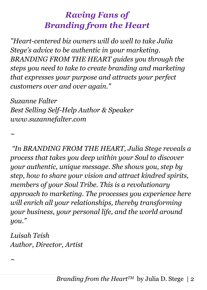## *Raving Fans of Branding from the Heart*

*"Heart-centered biz owners will do well to take Julia Stege's advice to be authentic in your marketing. BRANDING FROM THE HEART guides you through the steps you need to take to create branding and marketing that expresses your purpose and attracts your perfect customers over and over again."* 

*Suzanne Falter Best Selling Self-Help Author & Speaker www.suzannefalter.com*

*"In BRANDING FROM THE HEART, Julia Stege reveals a process that takes you deep within your Soul to discover your authentic, unique message. She shows you, step by step, how to share your vision and attract kindred spirits, members of your Soul Tribe. This is a revolutionary approach to marketing. The processes you experience here will enrich all your relationships, thereby transforming your business, your personal life, and the world around you."*

*Luisah Teish Author, Director, Artist*

*~*

*~*

*Branding from the Heart<sup>TM</sup>* by Julia D. Stege | 2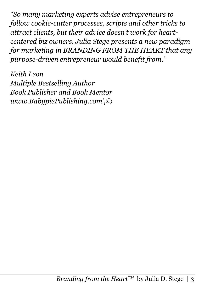*"So many marketing experts advise entrepreneurs to follow cookie-cutter processes, scripts and other tricks to attract clients, but their advice doesn't work for heartcentered biz owners. Julia Stege presents a new paradigm for marketing in BRANDING FROM THE HEART that any purpose-driven entrepreneur would benefit from."*

*Keith Leon Multiple Bestselling Author Book Publisher and Book Mentor www.BabypiePublishing.com\©*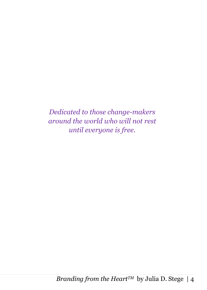*Dedicated to those change-makers around the world who will not rest until everyone is free.*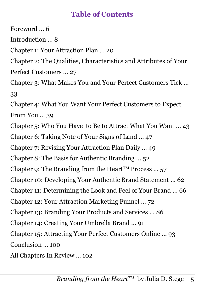#### **Table of Contents**

Foreword … 6 Introduction … 8 Chapter 1: Your Attraction Plan … 20 Chapter 2: The Qualities, Characteristics and Attributes of Your Perfect Customers … 27 Chapter 3: What Makes You and Your Perfect Customers Tick … 33 Chapter 4: What You Want Your Perfect Customers to Expect From You … 39 Chapter 5: Who You Have to Be to Attract What You Want … 43 Chapter 6: Taking Note of Your Signs of Land … 47 Chapter 7: Revising Your Attraction Plan Daily … 49 Chapter 8: The Basis for Authentic Branding … 52 Chapter 9: The Branding from the Heart<sup>TM</sup> Process ... 57 Chapter 10: Developing Your Authentic Brand Statement … 62 Chapter 11: Determining the Look and Feel of Your Brand … 66 Chapter 12: Your Attraction Marketing Funnel … 72 Chapter 13: Branding Your Products and Services … 86 Chapter 14: Creating Your Umbrella Brand … 91 Chapter 15: Attracting Your Perfect Customers Online … 93 Conclusion … 100 All Chapters In Review … 102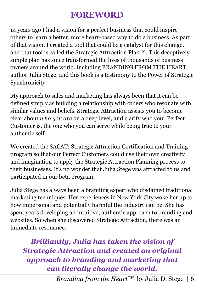#### **FOREWORD**

14 years ago I had a vision for a perfect business that could inspire others to learn a better, more heart-based way to do a business. As part of that vision, I created a tool that could be a catalyst for this change, and that tool is called the Strategic Atttraction PlanTM. This deceptively simple plan has since transformed the lives of thousands of business owners around the world, including BRANDING FROM THE HEART author Julia Stege, and this book is a testimony to the Power of Strategic Synchronicity.

My approach to sales and marketing has always been that it can be defined simply as building a relationship with others who resonate with similar values and beliefs. Strategic Attraction assists you to become clear about *who you are* on a deep level, and clarify who your Perfect Customer is, the one who you can serve while being true to your authentic self.

We created the SACAT: Strategic Attraction Certification and Training program so that our Perfect Customers could use their own creativity and imagination to apply the Strategic Attraction Planning process to their businesses. It's no wonder that Julia Stege was attracted to us and participated in our beta program.

Julia Stege has always been a branding expert who disdained traditional marketing techniques. Her experiences in New York City woke her up to how impersonal and potentially harmful the industry can be. She has spent years developing an intuitive, authentic approach to branding and websites. So when she discovered Strategic Attraction, there was an immediate resonance.

*Brilliantly, Julia has taken the vision of Strategic Attraction and created an original approach to branding and marketing that can literally change the world.*

*Branding from the Heart<sup>TM</sup>* by Julia D. Stege | 6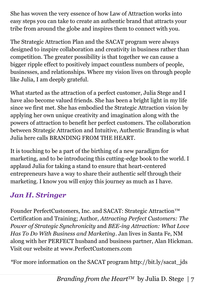She has woven the very essence of how Law of Attraction works into easy steps you can take to create an authentic brand that attracts your tribe from around the globe and inspires them to connect with you.

The Strategic Attraction Plan and the SACAT program were always designed to inspire collaboration and creativity in business rather than competition. The greater possibility is that together we can cause a bigger ripple effect to positively impact countless numbers of people, businesses, and relationships. Where my vision lives on through people like Julia, I am deeply grateful.

What started as the attraction of a perfect customer, Julia Stege and I have also become valued friends. She has been a bright light in my life since we first met. She has embodied the Strategic Attraction vision by applying her own unique creativity and imagination along with the powers of attraction to benefit her perfect customers. The collaboration between Strategic Attraction and Intuitive, Authentic Branding is what Julia here calls BRANDING FROM THE HEART.

It is touching to be a part of the birthing of a new paradigm for marketing, and to be introducing this cutting-edge book to the world. I applaud Julia for taking a stand to ensure that heart-centered entrepreneurs have a way to share their authentic self through their marketing. I know you will enjoy this journey as much as I have.

#### *Jan H. Stringer*

Founder PerfectCustomers, Inc. and SACAT: Strategic Attraction™ Certification and Training; Author, *Attracting Perfect Customers: The Power of Strategic Synchronicity* and *BEE-ing Attraction: What Love Has To Do With Business and Marketing*. Jan lives in Santa Fe, NM along with her PERFECT husband and business partner, Alan Hickman. Visit our website at www.PerfectCustomers.com

*\**For more information on the SACAT program http://bit.ly/sacat\_jds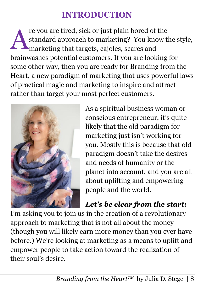## **INTRODUCTION**

re you are tired, sick or just plain bored of the standard approach to marketing? You know the style, marketing that targets, cajoles, scares and brainwashes potential customers. If you are looking for some other way, then you are ready for Branding from the Heart, a new paradigm of marketing that uses powerful laws of practical magic and marketing to inspire and attract rather than target your most perfect customers. A



As a spiritual business woman or conscious entrepreneur, it's quite likely that the old paradigm for marketing just isn't working for you. Mostly this is because that old paradigm doesn't take the desires and needs of humanity or the planet into account, and you are all about uplifting and empowering people and the world.

## *Let's be clear from the start:*

I'm asking you to join us in the creation of a revolutionary approach to marketing that is not all about the money (though you will likely earn more money than you ever have before.) We're looking at marketing as a means to uplift and empower people to take action toward the realization of their soul's desire.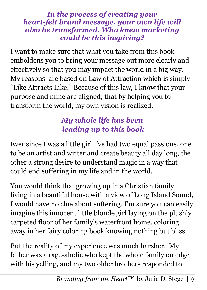#### *In the process of creating your heart-felt brand message, your own life will also be transformed. Who knew marketing could be this inspiring?*

I want to make sure that what you take from this book emboldens you to bring your message out more clearly and effectively so that you may impact the world in a big way. My reasons are based on Law of Attraction which is simply "Like Attracts Like." Because of this law, I know that your purpose and mine are aligned; that by helping you to transform the world, my own vision is realized.

## *My whole life has been leading up to this book*

Ever since I was a little girl I've had two equal passions, one to be an artist and writer and create beauty all day long, the other a strong desire to understand magic in a way that could end suffering in my life and in the world.

You would think that growing up in a Christian family, living in a beautiful house with a view of Long Island Sound, I would have no clue about suffering. I'm sure you can easily imagine this innocent little blonde girl laying on the plushly carpeted floor of her family's waterfront home, coloring away in her fairy coloring book knowing nothing but bliss.

But the reality of my experience was much harsher. My father was a rage-aholic who kept the whole family on edge with his yelling, and my two older brothers responded to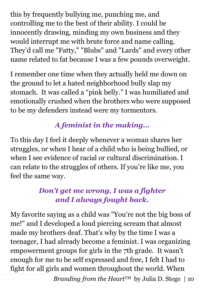this by frequently bullying me, punching me, and controlling me to the best of their ability. I could be innocently drawing, minding my own business and they would interrupt me with brute force and name calling. They'd call me "Fatty," "Blubs" and "Lards" and every other name related to fat because I was a few pounds overweight.

I remember one time when they actually held me down on the ground to let a hated neighborhood bully slap my stomach. It was called a "pink belly." I was humiliated and emotionally crushed when the brothers who were supposed to be my defenders instead were my tormentors.

## *A feminist in the making…*

To this day I feel it deeply whenever a woman shares her struggles, or when I hear of a child who is being bullied, or when I see evidence of racial or cultural discrimination. I can relate to the struggles of others. If you're like me, you feel the same way.

### *Don't get me wrong, I was a fighter and I always fought back.*

My favorite saying as a child was "You're not the big boss of me!" and I developed a loud piercing scream that almost made my brothers deaf. That's why by the time I was a teenager, I had already become a feminist. I was organizing empowerment groups for girls in the 7th grade. It wasn't enough for me to be self expressed and free, I felt I had to fight for all girls and women throughout the world. When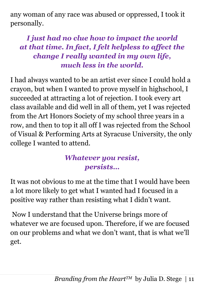any woman of any race was abused or oppressed, I took it personally.

## *I just had no clue how to impact the world at that time. In fact, I felt helpless to affect the change I really wanted in my own life, much less in the world.*

I had always wanted to be an artist ever since I could hold a crayon, but when I wanted to prove myself in highschool, I succeeded at attracting a lot of rejection. I took every art class available and did well in all of them, yet I was rejected from the Art Honors Society of my school three years in a row, and then to top it all off I was rejected from the School of Visual & Performing Arts at Syracuse University, the only college I wanted to attend.

#### *Whatever you resist, persists…*

It was not obvious to me at the time that I would have been a lot more likely to get what I wanted had I focused in a positive way rather than resisting what I didn't want.

Now I understand that the Universe brings more of whatever we are focused upon. Therefore, if we are focused on our problems and what we don't want, that is what we'll get.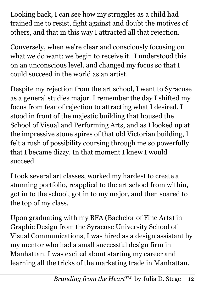Looking back, I can see how my struggles as a child had trained me to resist, fight against and doubt the motives of others, and that in this way I attracted all that rejection.

Conversely, when we're clear and consciously focusing on what we do want: we begin to receive it. I understood this on an unconscious level, and changed my focus so that I could succeed in the world as an artist.

Despite my rejection from the art school, I went to Syracuse as a general studies major. I remember the day I shifted my focus from fear of rejection to attracting what I desired. I stood in front of the majestic building that housed the School of Visual and Performing Arts, and as I looked up at the impressive stone spires of that old Victorian building, I felt a rush of possibility coursing through me so powerfully that I became dizzy. In that moment I knew I would succeed.

I took several art classes, worked my hardest to create a stunning portfolio, reapplied to the art school from within, got in to the school, got in to my major, and then soared to the top of my class.

Upon graduating with my BFA (Bachelor of Fine Arts) in Graphic Design from the Syracuse University School of Visual Communications, I was hired as a design assistant by my mentor who had a small successful design firm in Manhattan. I was excited about starting my career and learning all the tricks of the marketing trade in Manhattan.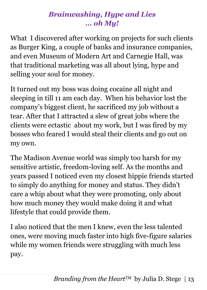### *Brainwashing, Hype and Lies … oh My!*

What I discovered after working on projects for such clients as Burger King, a couple of banks and insurance companies, and even Museum of Modern Art and Carnegie Hall, was that traditional marketing was all about lying, hype and selling your soul for money.

It turned out my boss was doing cocaine all night and sleeping in till 11 am each day. When his behavior lost the company's biggest client, he sacrificed my job without a tear. After that I attracted a slew of great jobs where the clients were ectastic about my work, but I was fired by my bosses who feared I would steal their clients and go out on my own.

The Madison Avenue world was simply too harsh for my sensitive artistic, freedom-loving self. As the months and years passed I noticed even my closest hippie friends started to simply do anything for money and status. They didn't care a whip about what they were promoting, only about how much money they would make doing it and what lifestyle that could provide them.

I also noticed that the men I knew, even the less talented ones, were moving much faster into high five-figure salaries while my women friends were struggling with much less pay.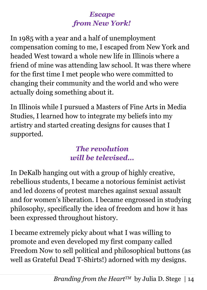#### *Escape from New York!*

In 1985 with a year and a half of unemployment compensation coming to me, I escaped from New York and headed West toward a whole new life in Illinois where a friend of mine was attending law school. It was there where for the first time I met people who were committed to changing their community and the world and who were actually doing something about it.

In Illinois while I pursued a Masters of Fine Arts in Media Studies, I learned how to integrate my beliefs into my artistry and started creating designs for causes that I supported.

#### *The revolution will be televised…*

In DeKalb hanging out with a group of highly creative, rebellious students, I became a notorious feminist activist and led dozens of protest marches against sexual assault and for women's liberation. I became engrossed in studying philosophy, specifically the idea of freedom and how it has been expressed throughout history.

I became extremely picky about what I was willing to promote and even developed my first company called Freedom Now to sell political and philosophical buttons (as well as Grateful Dead T-Shirts!) adorned with my designs.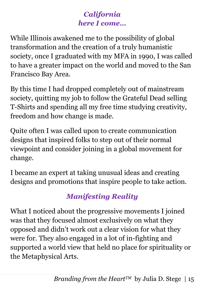## *California here I come…*

While Illinois awakened me to the possibility of global transformation and the creation of a truly humanistic society, once I graduated with my MFA in 1990, I was called to have a greater impact on the world and moved to the San Francisco Bay Area.

By this time I had dropped completely out of mainstream society, quitting my job to follow the Grateful Dead selling T-Shirts and spending all my free time studying creativity, freedom and how change is made.

Quite often I was called upon to create communication designs that inspired folks to step out of their normal viewpoint and consider joining in a global movement for change.

I became an expert at taking unusual ideas and creating designs and promotions that inspire people to take action.

## *Manifesting Reality*

What I noticed about the progressive movements I joined was that they focused almost exclusively on what they opposed and didn't work out a clear vision for what they were for. They also engaged in a lot of in-fighting and supported a world view that held no place for spirituality or the Metaphysical Arts.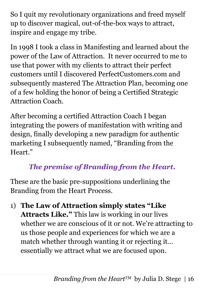So I quit my revolutionary organizations and freed myself up to discover magical, out-of-the-box ways to attract, inspire and engage my tribe.

In 1998 I took a class in Manifesting and learned about the power of the Law of Attraction. It never occurred to me to use that power with my clients to attract their perfect customers until I discovered PerfectCustomers.com and subsequently mastered The Attraction Plan, becoming one of a few holding the honor of being a Certified Strategic Attraction Coach.

After becoming a certified Attraction Coach I began integrating the powers of manifestation with writing and design, finally developing a new paradigm for authentic marketing I subsequently named, "Branding from the Heart."

## *The premise of Branding from the Heart.*

These are the basic pre-suppositions underlining the Branding from the Heart Process.

1) **The Law of Attraction simply states "Like Attracts Like."** This law is working in our lives whether we are conscious of it or not. We're attracting to us those people and experiences for which we are a match whether through wanting it or rejecting it… essentially we attract what we are focused upon.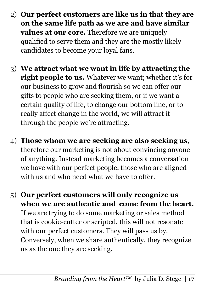- 2) **Our perfect customers are like us in that they are on the same life path as we are and have similar values at our core.** Therefore we are uniquely qualified to serve them and they are the mostly likely candidates to become your loyal fans.
- 3) **We attract what we want in life by attracting the right people to us.** Whatever we want; whether it's for our business to grow and flourish so we can offer our gifts to people who are seeking them, or if we want a certain quality of life, to change our bottom line, or to really affect change in the world, we will attract it through the people we're attracting.
- 4) **Those whom we are seeking are also seeking us,** therefore our marketing is not about convincing anyone of anything. Instead marketing becomes a conversation we have with our perfect people, those who are aligned with us and who need what we have to offer.
- 5) **Our perfect customers will only recognize us when we are authentic and come from the heart.** If we are trying to do some marketing or sales method that is cookie-cutter or scripted, this will not resonate with our perfect customers. They will pass us by. Conversely, when we share authentically, they recognize us as the one they are seeking.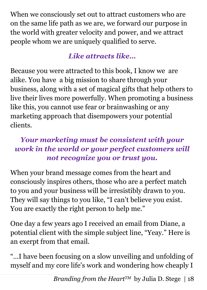When we consciously set out to attract customers who are on the same life path as we are, we forward our purpose in the world with greater velocity and power, and we attract people whom we are uniquely qualified to serve.

## *Like attracts like…*

Because you were attracted to this book, I know we are alike. You have a big mission to share through your business, along with a set of magical gifts that help others to live their lives more powerfully. When promoting a business like this, you cannot use fear or brainwashing or any marketing approach that disempowers your potential clients.

### *Your marketing must be consistent with your work in the world or your perfect customers will not recognize you or trust you.*

When your brand message comes from the heart and consciously inspires others, those who are a perfect match to you and your business will be irresistibly drawn to you. They will say things to you like, "I can't believe you exist. You are exactly the right person to help me."

One day a few years ago I received an email from Diane, a potential client with the simple subject line, "Yeay." Here is an exerpt from that email.

"…I have been focusing on a slow unveiling and unfolding of myself and my core life's work and wondering how cheaply I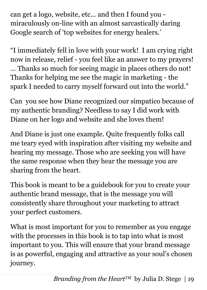can get a logo, website, etc... and then I found you miraculously on-line with an almost sarcastically daring Google search of 'top websites for energy healers.'

"I immediately fell in love with your work! I am crying right now in release, relief - you feel like an answer to my prayers! … Thanks so much for seeing magic in places others do not! Thanks for helping me see the magic in marketing - the spark I needed to carry myself forward out into the world."

Can you see how Diane recognized our simpatico because of my authentic branding? Needless to say I did work with Diane on her logo and website and she loves them!

And Diane is just one example. Quite frequently folks call me teary eyed with inspiration after visiting my website and hearing my message. Those who are seeking you will have the same response when they hear the message you are sharing from the heart.

This book is meant to be a guidebook for you to create your authentic brand message, that is the message you will consistently share throughout your marketing to attract your perfect customers.

What is most important for you to remember as you engage with the processes in this book is to tap into what is most important to you. This will ensure that your brand message is as powerful, engaging and attractive as your soul's chosen journey.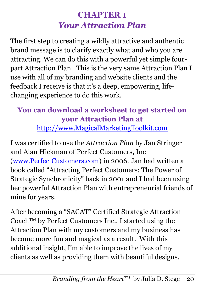## **CHAPTER 1** *Your Attraction Plan*

The first step to creating a wildly attractive and authentic brand message is to clarify exactly what and who you are attracting. We can do this with a powerful yet simple fourpart Attraction Plan. This is the very same Attraction Plan I use with all of my branding and website clients and the feedback I receive is that it's a deep, empowering, lifechanging experience to do this work.

## **You can download a worksheet to get started on your Attraction Plan at**

[http://www.MagicalMarketingToolkit.com](http://www.magicalmarketingtoolkit.com/)

I was certified to use the *Attraction Plan* by Jan Stringer and Alan Hickman of Perfect Customers, Inc [\(www.PerfectCustomers.com\)](http://www.perfectcustomers.com/) in 2006. Jan had written a book called "Attracting Perfect Customers: The Power of Strategic Synchronicity" back in 2001 and I had been using her powerful Attraction Plan with entrepreneurial friends of mine for years.

After becoming a "SACAT" Certified Strategic Attraction CoachTM by Perfect Customers Inc., I started using the Attraction Plan with my customers and my business has become more fun and magical as a result. With this additional insight, I'm able to improve the lives of my clients as well as providing them with beautiful designs.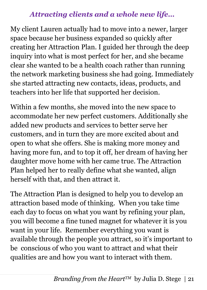#### *Attracting clients and a whole new life…*

My client Lauren actually had to move into a newer, larger space because her business expanded so quickly after creating her Attraction Plan. I guided her through the deep inquiry into what is most perfect for her, and she became clear she wanted to be a health coach rather than running the network marketing business she had going. Immediately she started attracting new contacts, ideas, products, and teachers into her life that supported her decision.

Within a few months, she moved into the new space to accommodate her new perfect customers. Additionally she added new products and services to better serve her customers, and in turn they are more excited about and open to what she offers. She is making more money and having more fun, and to top it off, her dream of having her daughter move home with her came true. The Attraction Plan helped her to really define what she wanted, align herself with that, and then attract it.

The Attraction Plan is designed to help you to develop an attraction based mode of thinking. When you take time each day to focus on what you want by refining your plan, you will become a fine tuned magnet for whatever it is you want in your life. Remember everything you want is available through the people you attract, so it's important to be conscious of who you want to attract and what their qualities are and how you want to interact with them.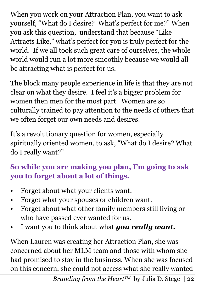When you work on your Attraction Plan, you want to ask yourself, "What do I desire? What's perfect for me?" When you ask this question, understand that because "Like Attracts Like," what's perfect for you is truly perfect for the world. If we all took such great care of ourselves, the whole world would run a lot more smoothly because we would all be attracting what is perfect for us.

The block many people experience in life is that they are not clear on what they desire. I feel it's a bigger problem for women then men for the most part. Women are so culturally trained to pay attention to the needs of others that we often forget our own needs and desires.

It's a revolutionary question for women, especially spiritually oriented women, to ask, "What do I desire? What do I really want?"

## **So while you are making you plan, I'm going to ask you to forget about a lot of things.**

- Forget about what your clients want.
- Forget what your spouses or children want.
- Forget about what other family members still living or who have passed ever wanted for us.
- I want you to think about what *you really want.*

When Lauren was creating her Attraction Plan, she was concerned about her MLM team and those with whom she had promised to stay in the business. When she was focused on this concern, she could not access what she really wanted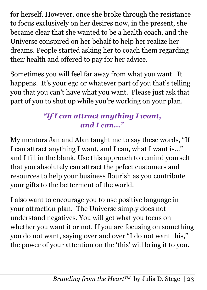for herself. However, once she broke through the resistance to focus exclusively on her desires now, in the present, she became clear that she wanted to be a health coach, and the Universe conspired on her behalf to help her realize her dreams. People started asking her to coach them regarding their health and offered to pay for her advice.

Sometimes you will feel far away from what you want. It happens. It's your ego or whatever part of you that's telling you that you can't have what you want. Please just ask that part of you to shut up while you're working on your plan.

## *"If I can attract anything I want, and I can…"*

My mentors Jan and Alan taught me to say these words, "If I can attract anything I want, and I can, what I want is…" and I fill in the blank. Use this approach to remind yourself that you absolutely can attract the pefect customers and resources to help your business flourish as you contribute your gifts to the betterment of the world.

I also want to encourage you to use positive language in your attraction plan. The Universe simply does not understand negatives. You will get what you focus on whether you want it or not. If you are focusing on something you do not want, saying over and over "I do not want this," the power of your attention on the 'this' will bring it to you.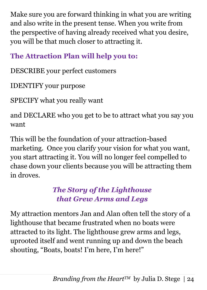Make sure you are forward thinking in what you are writing and also write in the present tense. When you write from the perspective of having already received what you desire, you will be that much closer to attracting it.

## **The Attraction Plan will help you to:**

DESCRIBE your perfect customers

IDENTIFY your purpose

SPECIFY what you really want

and DECLARE who you get to be to attract what you say you want

This will be the foundation of your attraction-based marketing. Once you clarify your vision for what you want, you start attracting it. You will no longer feel compelled to chase down your clients because you will be attracting them in droves.

### *The Story of the Lighthouse that Grew Arms and Legs*

My attraction mentors Jan and Alan often tell the story of a lighthouse that became frustrated when no boats were attracted to its light. The lighthouse grew arms and legs, uprooted itself and went running up and down the beach shouting, "Boats, boats! I'm here, I'm here!"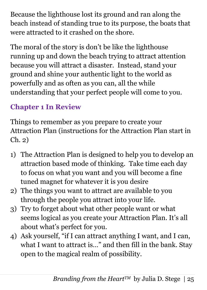Because the lighthouse lost its ground and ran along the beach instead of standing true to its purpose, the boats that were attracted to it crashed on the shore.

The moral of the story is don't be like the lighthouse running up and down the beach trying to attract attention because you will attract a disaster. Instead, stand your ground and shine your authentic light to the world as powerfully and as often as you can, all the while understanding that your perfect people will come to you.

## **Chapter 1 In Review**

Things to remember as you prepare to create your Attraction Plan (instructions for the Attraction Plan start in Ch. 2)

- 1) The Attraction Plan is designed to help you to develop an attraction based mode of thinking. Take time each day to focus on what you want and you will become a fine tuned magnet for whatever it is you desire
- 2) The things you want to attract are available to you through the people you attract into your life.
- 3) Try to forget about what other people want or what seems logical as you create your Attraction Plan. It's all about what's perfect for you.
- 4) Ask yourself, "if I can attract anything I want, and I can, what I want to attract is…" and then fill in the bank. Stay open to the magical realm of possibility.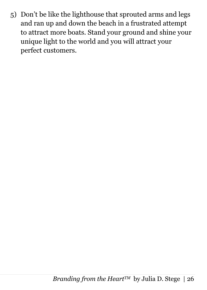5) Don't be like the lighthouse that sprouted arms and legs and ran up and down the beach in a frustrated attempt to attract more boats. Stand your ground and shine your unique light to the world and you will attract your perfect customers.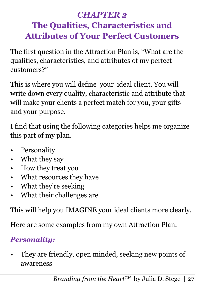## *CHAPTER 2* **The Qualities, Characteristics and Attributes of Your Perfect Customers**

The first question in the Attraction Plan is, "What are the qualities, characteristics, and attributes of my perfect customers?"

This is where you will define your ideal client. You will write down every quality, characteristic and attribute that will make your clients a perfect match for you, your gifts and your purpose.

I find that using the following categories helps me organize this part of my plan.

- Personality
- What they say
- How they treat you
- What resources they have
- What they're seeking
- What their challenges are

This will help you IMAGINE your ideal clients more clearly.

Here are some examples from my own Attraction Plan.

## *Personality:*

• They are friendly, open minded, seeking new points of awareness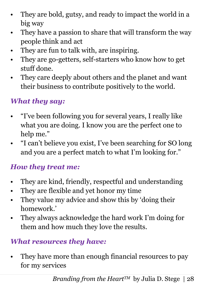- They are bold, gutsy, and ready to impact the world in a big way
- They have a passion to share that will transform the way people think and act
- They are fun to talk with, are inspiring.
- They are go-getters, self-starters who know how to get stuff done.
- They care deeply about others and the planet and want their business to contribute positively to the world.

### *What they say:*

- "I've been following you for several years, I really like what you are doing. I know you are the perfect one to help me."
- "I can't believe you exist, I've been searching for SO long and you are a perfect match to what I'm looking for."

#### *How they treat me:*

- They are kind, friendly, respectful and understanding
- They are flexible and yet honor my time
- They value my advice and show this by 'doing their homework.'
- They always acknowledge the hard work I'm doing for them and how much they love the results.

#### *What resources they have:*

• They have more than enough financial resources to pay for my services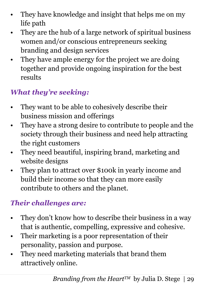- They have knowledge and insight that helps me on my life path
- They are the hub of a large network of spiritual business women and/or conscious entrepreneurs seeking branding and design services
- They have ample energy for the project we are doing together and provide ongoing inspiration for the best results

## *What they're seeking:*

- They want to be able to cohesively describe their business mission and offerings
- They have a strong desire to contribute to people and the society through their business and need help attracting the right customers
- They need beautiful, inspiring brand, marketing and website designs
- They plan to attract over \$100k in yearly income and build their income so that they can more easily contribute to others and the planet.

## *Their challenges are:*

- They don't know how to describe their business in a way that is authentic, compelling, expressive and cohesive.
- Their marketing is a poor representation of their personality, passion and purpose.
- They need marketing materials that brand them attractively online.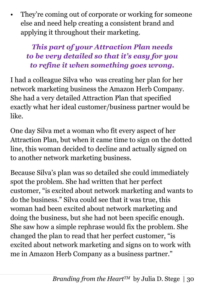They're coming out of corporate or working for someone else and need help creating a consistent brand and applying it throughout their marketing.

*This part of your Attraction Plan needs to be very detailed so that it's easy for you to refine it when something goes wrong.*

I had a colleague Silva who was creating her plan for her network marketing business the Amazon Herb Company. She had a very detailed Attraction Plan that specified exactly what her ideal customer/business partner would be like.

One day Silva met a woman who fit every aspect of her Attraction Plan, but when it came time to sign on the dotted line, this woman decided to decline and actually signed on to another network marketing business.

Because Silva's plan was so detailed she could immediately spot the problem. She had written that her perfect customer, "is excited about network marketing and wants to do the business." Silva could see that it was true, this woman had been excited about network marketing and doing the business, but she had not been specific enough. She saw how a simple rephrase would fix the problem. She changed the plan to read that her perfect customer, "is excited about network marketing and signs on to work with me in Amazon Herb Company as a business partner."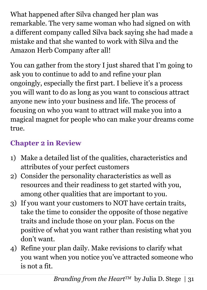What happened after Silva changed her plan was remarkable. The very same woman who had signed on with a different company called Silva back saying she had made a mistake and that she wanted to work with Silva and the Amazon Herb Company after all!

You can gather from the story I just shared that I'm going to ask you to continue to add to and refine your plan ongoingly, especially the first part. I believe it's a process you will want to do as long as you want to conscious attract anyone new into your business and life. The process of focusing on who you want to attract will make you into a magical magnet for people who can make your dreams come true.

## **Chapter 2 in Review**

- 1) Make a detailed list of the qualities, characteristics and attributes of your perfect customers
- 2) Consider the personality characteristics as well as resources and their readiness to get started with you, among other qualities that are important to you.
- 3) If you want your customers to NOT have certain traits, take the time to consider the opposite of those negative traits and include those on your plan. Focus on the positive of what you want rather than resisting what you don't want.
- 4) Refine your plan daily. Make revisions to clarify what you want when you notice you've attracted someone who is not a fit.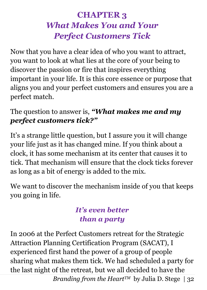## **CHAPTER 3** *What Makes You and Your Perfect Customers Tick*

Now that you have a clear idea of who you want to attract, you want to look at what lies at the core of your being to discover the passion or fire that inspires everything important in your life. It is this core essence or purpose that aligns you and your perfect customers and ensures you are a perfect match.

#### The question to answer is, *"What makes me and my perfect customers tick?"*

It's a strange little question, but I assure you it will change your life just as it has changed mine. If you think about a clock, it has some mechanism at its center that causes it to tick. That mechanism will ensure that the clock ticks forever as long as a bit of energy is added to the mix.

We want to discover the mechanism inside of you that keeps you going in life.

## *It's even better than a party*

In 2006 at the Perfect Customers retreat for the Strategic Attraction Planning Certification Program (SACAT), I experienced first hand the power of a group of people sharing what makes them tick. We had scheduled a party for the last night of the retreat, but we all decided to have the

*Branding from the Heart<sup>TM</sup>* by Julia D. Stege | 32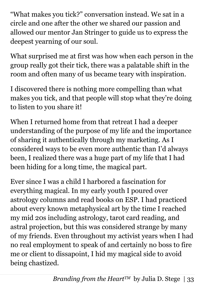"What makes you tick?" conversation instead. We sat in a circle and one after the other we shared our passion and allowed our mentor Jan Stringer to guide us to express the deepest yearning of our soul.

What surprised me at first was how when each person in the group really got their tick, there was a palatable shift in the room and often many of us became teary with inspiration.

I discovered there is nothing more compelling than what makes you tick, and that people will stop what they're doing to listen to you share it!

When I returned home from that retreat I had a deeper understanding of the purpose of my life and the importance of sharing it authentically through my marketing. As I considered ways to be even more authentic than I'd always been, I realized there was a huge part of my life that I had been hiding for a long time, the magical part.

Ever since I was a child I harbored a fascination for everything magical. In my early youth I poured over astrology columns and read books on ESP. I had practiced about every known metaphysical art by the time I reached my mid 20s including astrology, tarot card reading, and astral projection, but this was considered strange by many of my friends. Even throughout my activist years when I had no real employment to speak of and certainly no boss to fire me or client to dissapoint, I hid my magical side to avoid being chastized.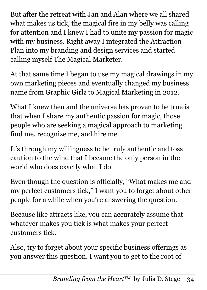But after the retreat with Jan and Alan where we all shared what makes us tick, the magical fire in my belly was calling for attention and I knew I had to unite my passion for magic with my business. Right away I integrated the Attraction Plan into my branding and design services and started calling myself The Magical Marketer.

At that same time I began to use my magical drawings in my own marketing pieces and eventually changed my business name from Graphic Girlz to Magical Marketing in 2012.

What I knew then and the universe has proven to be true is that when I share my authentic passion for magic, those people who are seeking a magical approach to marketing find me, recognize me, and hire me.

It's through my willingness to be truly authentic and toss caution to the wind that I became the only person in the world who does exactly what I do.

Even though the question is officially, "What makes me and my perfect customers tick," I want you to forget about other people for a while when you're answering the question.

Because like attracts like, you can accurately assume that whatever makes you tick is what makes your perfect customers tick.

Also, try to forget about your specific business offerings as you answer this question. I want you to get to the root of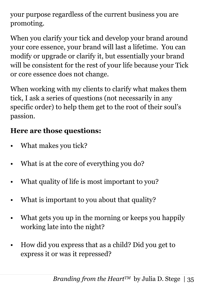your purpose regardless of the current business you are promoting.

When you clarify your tick and develop your brand around your core essence, your brand will last a lifetime. You can modify or upgrade or clarify it, but essentially your brand will be consistent for the rest of your life because your Tick or core essence does not change.

When working with my clients to clarify what makes them tick, I ask a series of questions (not necessarily in any specific order) to help them get to the root of their soul's passion.

## **Here are those questions:**

- What makes you tick?
- What is at the core of everything you do?
- What quality of life is most important to you?
- What is important to you about that quality?
- What gets you up in the morning or keeps you happily working late into the night?
- How did you express that as a child? Did you get to express it or was it repressed?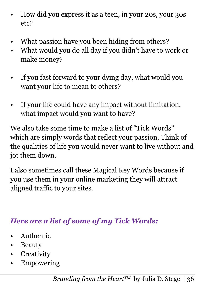- How did you express it as a teen, in your 20s, your 30s etc?
- What passion have you been hiding from others?
- What would you do all day if you didn't have to work or make money?
- If you fast forward to your dying day, what would you want your life to mean to others?
- If your life could have any impact without limitation, what impact would you want to have?

We also take some time to make a list of "Tick Words" which are simply words that reflect your passion. Think of the qualities of life you would never want to live without and jot them down.

I also sometimes call these Magical Key Words because if you use them in your online marketing they will attract aligned traffic to your sites.

### *Here are a list of some of my Tick Words:*

- Authentic
- Beauty
- Creativity
- Empowering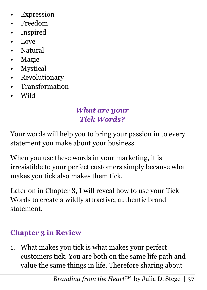- Expression
- Freedom
- Inspired
- Love
- Natural
- Magic
- Mystical
- Revolutionary
- Transformation
- Wild

#### *What are your Tick Words?*

Your words will help you to bring your passion in to every statement you make about your business.

When you use these words in your marketing, it is irresistible to your perfect customers simply because what makes you tick also makes them tick.

Later on in Chapter 8, I will reveal how to use your Tick Words to create a wildly attractive, authentic brand statement.

### **Chapter 3 in Review**

1. What makes you tick is what makes your perfect customers tick. You are both on the same life path and value the same things in life. Therefore sharing about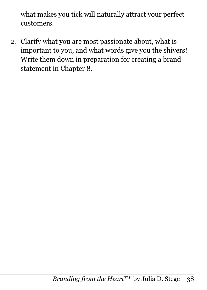what makes you tick will naturally attract your perfect customers.

2. Clarify what you are most passionate about, what is important to you, and what words give you the shivers! Write them down in preparation for creating a brand statement in Chapter 8.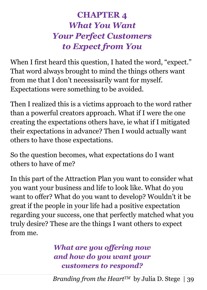# **CHAPTER 4** *What You Want Your Perfect Customers to Expect from You*

When I first heard this question, I hated the word, "expect." That word always brought to mind the things others want from me that I don't necessisarily want for myself. Expectations were something to be avoided.

Then I realized this is a victims approach to the word rather than a powerful creators approach. What if I were the one creating the expectations others have, ie what if I mitigated their expectations in advance? Then I would actually want others to have those expectations.

So the question becomes, what expectations do I want others to have of me?

In this part of the Attraction Plan you want to consider what you want your business and life to look like. What do you want to offer? What do you want to develop? Wouldn't it be great if the people in your life had a positive expectation regarding your success, one that perfectly matched what you truly desire? These are the things I want others to expect from me.

> *What are you offering now and how do you want your customers to respond?*

*Branding from the Heart<sup>TM</sup>* by Julia D. Stege | 39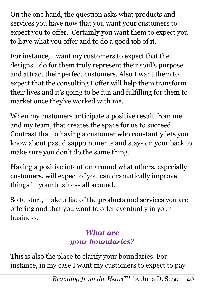On the one hand, the question asks what products and services you have now that you want your customers to expect you to offer. Certainly you want them to expect you to have what you offer and to do a good job of it.

For instance, I want my customers to expect that the designs I do for them truly represent their soul's purpose and attract their perfect customers. Also I want them to expect that the consulting I offer will help them transform their lives and it's going to be fun and fulfilling for them to market once they've worked with me.

When my customers anticipate a positive result from me and my team, that creates the space for us to succeed. Contrast that to having a customer who constantly lets you know about past disappointments and stays on your back to make sure you don't do the same thing.

Having a positive intention around what others, especially customers, will expect of you can dramatically improve things in your business all around.

So to start, make a list of the products and services you are offering and that you want to offer eventually in your business.

#### *What are your boundaries?*

This is also the place to clarify your boundaries. For instance, in my case I want my customers to expect to pay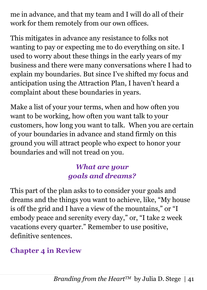me in advance, and that my team and I will do all of their work for them remotely from our own offices.

This mitigates in advance any resistance to folks not wanting to pay or expecting me to do everything on site. I used to worry about these things in the early years of my business and there were many conversations where I had to explain my boundaries. But since I've shifted my focus and anticipation using the Attraction Plan, I haven't heard a complaint about these boundaries in years.

Make a list of your your terms, when and how often you want to be working, how often you want talk to your customers, how long you want to talk. When you are certain of your boundaries in advance and stand firmly on this ground you will attract people who expect to honor your boundaries and will not tread on you.

### *What are your goals and dreams?*

This part of the plan asks to to consider your goals and dreams and the things you want to achieve, like, "My house is off the grid and I have a view of the mountains," or "I embody peace and serenity every day," or, "I take 2 week vacations every quarter." Remember to use positive, definitive sentences.

## **Chapter 4 in Review**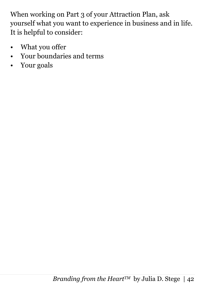When working on Part 3 of your Attraction Plan, ask yourself what you want to experience in business and in life. It is helpful to consider:

- What you offer
- Your boundaries and terms
- Your goals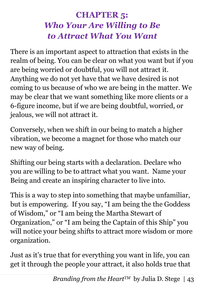## **CHAPTER 5:** *Who Your Are Willing to Be to Attract What You Want*

There is an important aspect to attraction that exists in the realm of being. You can be clear on what you want but if you are being worried or doubtful, you will not attract it. Anything we do not yet have that we have desired is not coming to us because of who we are being in the matter. We may be clear that we want something like more clients or a 6-figure income, but if we are being doubtful, worried, or jealous, we will not attract it.

Conversely, when we shift in our being to match a higher vibration, we become a magnet for those who match our new way of being.

Shifting our being starts with a declaration. Declare who you are willing to be to attract what you want. Name your Being and create an inspiring character to live into.

This is a way to step into something that maybe unfamiliar, but is empowering. If you say, "I am being the the Goddess of Wisdom," or "I am being the Martha Stewart of Organization," or "I am being the Captain of this Ship" you will notice your being shifts to attract more wisdom or more organization.

Just as it's true that for everything you want in life, you can get it through the people your attract, it also holds true that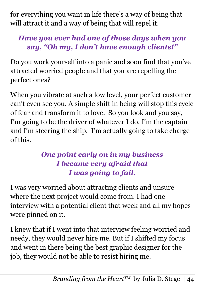for everything you want in life there's a way of being that will attract it and a way of being that will repel it.

## *Have you ever had one of those days when you say, "Oh my, I don't have enough clients!"*

Do you work yourself into a panic and soon find that you've attracted worried people and that you are repelling the perfect ones?

When you vibrate at such a low level, your perfect customer can't even see you. A simple shift in being will stop this cycle of fear and transform it to love. So you look and you say, I'm going to be the driver of whatever I do. I'm the captain and I'm steering the ship. I'm actually going to take charge of this.

### *One point early on in my business I became very afraid that I was going to fail.*

I was very worried about attracting clients and unsure where the next project would come from. I had one interview with a potential client that week and all my hopes were pinned on it.

I knew that if I went into that interview feeling worried and needy, they would never hire me. But if I shifted my focus and went in there being the best graphic designer for the job, they would not be able to resist hiring me.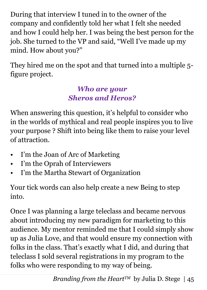During that interview I tuned in to the owner of the company and confidently told her what I felt she needed and how I could help her. I was being the best person for the job. She turned to the VP and said, "Well I've made up my mind. How about you?"

They hired me on the spot and that turned into a multiple 5 figure project.

### *Who are your Sheros and Heros?*

When answering this question, it's helpful to consider who in the worlds of mythical and real people inspires you to live your purpose ? Shift into being like them to raise your level of attraction.

- I'm the Joan of Arc of Marketing
- I'm the Oprah of Interviewers
- I'm the Martha Stewart of Organization

Your tick words can also help create a new Being to step into.

Once I was planning a large teleclass and became nervous about introducing my new paradigm for marketing to this audience. My mentor reminded me that I could simply show up as Julia Love, and that would ensure my connection with folks in the class. That's exactly what I did, and during that teleclass I sold several registrations in my program to the folks who were responding to my way of being.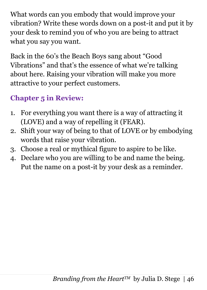What words can you embody that would improve your vibration? Write these words down on a post-it and put it by your desk to remind you of who you are being to attract what you say you want.

Back in the 60's the Beach Boys sang about "Good Vibrations" and that's the essence of what we're talking about here. Raising your vibration will make you more attractive to your perfect customers.

## **Chapter 5 in Review:**

- 1. For everything you want there is a way of attracting it (LOVE) and a way of repelling it (FEAR).
- 2. Shift your way of being to that of LOVE or by embodying words that raise your vibration.
- 3. Choose a real or mythical figure to aspire to be like.
- 4. Declare who you are willing to be and name the being. Put the name on a post-it by your desk as a reminder.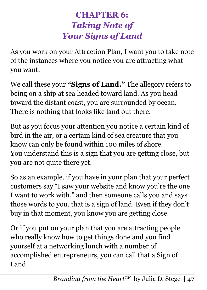# **CHAPTER 6:** *Taking Note of Your Signs of Land*

As you work on your Attraction Plan, I want you to take note of the instances where you notice you are attracting what you want.

We call these your **"Signs of Land."** The allegory refers to being on a ship at sea headed toward land. As you head toward the distant coast, you are surrounded by ocean. There is nothing that looks like land out there.

But as you focus your attention you notice a certain kind of bird in the air, or a certain kind of sea creature that you know can only be found within 100 miles of shore. You understand this is a sign that you are getting close, but you are not quite there yet.

So as an example, if you have in your plan that your perfect customers say "I saw your website and know you're the one I want to work with," and then someone calls you and says those words to you, that is a sign of land. Even if they don't buy in that moment, you know you are getting close.

Or if you put on your plan that you are attracting people who really know how to get things done and you find yourself at a networking lunch with a number of accomplished entrepreneurs, you can call that a Sign of Land.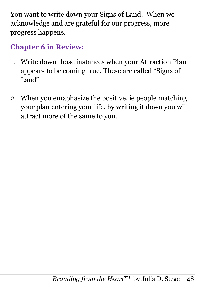You want to write down your Signs of Land. When we acknowledge and are grateful for our progress, more progress happens.

#### **Chapter 6 in Review:**

- 1. Write down those instances when your Attraction Plan appears to be coming true. These are called "Signs of Land"
- 2. When you emaphasize the positive, ie people matching your plan entering your life, by writing it down you will attract more of the same to you.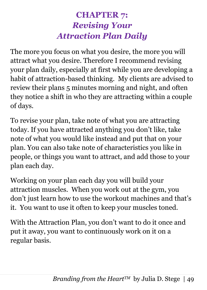# **CHAPTER 7:** *Revising Your Attraction Plan Daily*

The more you focus on what you desire, the more you will attract what you desire. Therefore I recommend revising your plan daily, especially at first while you are developing a habit of attraction-based thinking. My clients are advised to review their plans 5 minutes morning and night, and often they notice a shift in who they are attracting within a couple of days.

To revise your plan, take note of what you are attracting today. If you have attracted anything you don't like, take note of what you would like instead and put that on your plan. You can also take note of characteristics you like in people, or things you want to attract, and add those to your plan each day.

Working on your plan each day you will build your attraction muscles. When you work out at the gym, you don't just learn how to use the workout machines and that's it. You want to use it often to keep your muscles toned.

With the Attraction Plan, you don't want to do it once and put it away, you want to continuously work on it on a regular basis.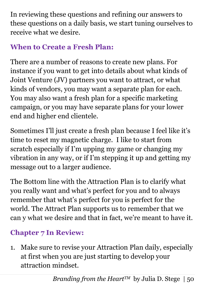In reviewing these questions and refining our answers to these questions on a daily basis, we start tuning ourselves to receive what we desire.

## **When to Create a Fresh Plan:**

There are a number of reasons to create new plans. For instance if you want to get into details about what kinds of Joint Venture (JV) partners you want to attract, or what kinds of vendors, you may want a separate plan for each. You may also want a fresh plan for a specific marketing campaign, or you may have separate plans for your lower end and higher end clientele.

Sometimes I'll just create a fresh plan because I feel like it's time to reset my magnetic charge. I like to start from scratch especially if I'm upping my game or changing my vibration in any way, or if I'm stepping it up and getting my message out to a larger audience.

The Bottom line with the Attraction Plan is to clarify what you really want and what's perfect for you and to always remember that what's perfect for you is perfect for the world. The Attract Plan supports us to remember that we can y what we desire and that in fact, we're meant to have it.

# **Chapter 7 In Review:**

1. Make sure to revise your Attraction Plan daily, especially at first when you are just starting to develop your attraction mindset.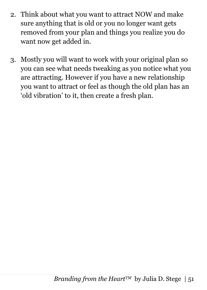- 2. Think about what you want to attract NOW and make sure anything that is old or you no longer want gets removed from your plan and things you realize you do want now get added in.
- 3. Mostly you will want to work with your original plan so you can see what needs tweaking as you notice what you are attracting. However if you have a new relationship you want to attract or feel as though the old plan has an 'old vibration' to it, then create a fresh plan.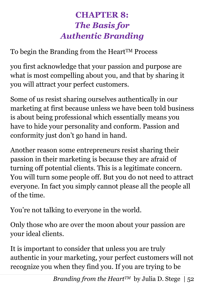# **CHAPTER 8:** *The Basis for Authentic Branding*

To begin the Branding from the Heart<sup>TM</sup> Process

you first acknowledge that your passion and purpose are what is most compelling about you, and that by sharing it you will attract your perfect customers.

Some of us resist sharing ourselves authentically in our marketing at first because unless we have been told business is about being professional which essentially means you have to hide your personality and conform. Passion and conformity just don't go hand in hand.

Another reason some entrepreneurs resist sharing their passion in their marketing is because they are afraid of turning off potential clients. This is a legitimate concern. You will turn some people off. But you do not need to attract everyone. In fact you simply cannot please all the people all of the time.

You're not talking to everyone in the world.

Only those who are over the moon about your passion are your ideal clients.

It is important to consider that unless you are truly authentic in your marketing, your perfect customers will not recognize you when they find you. If you are trying to be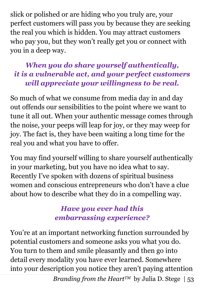slick or polished or are hiding who you truly are, your perfect customers will pass you by because they are seeking the real you which is hidden. You may attract customers who pay you, but they won't really get you or connect with you in a deep way.

#### *When you do share yourself authentically, it is a vulnerable act, and your perfect customers will appreciate your willingness to be real.*

So much of what we consume from media day in and day out offends our sensibilities to the point where we want to tune it all out. When your authentic message comes through the noise, your peeps will leap for joy, or they may weep for joy. The fact is, they have been waiting a long time for the real you and what you have to offer.

You may find yourself willing to share yourself authentically in your marketing, but you have no idea what to say. Recently I've spoken with dozens of spiritual business women and conscious entrepreneurs who don't have a clue about how to describe what they do in a compelling way.

### *Have you ever had this embarrassing experience?*

You're at an important networking function surrounded by potential customers and someone asks you what you do. You turn to them and smile pleasantly and then go into detail every modality you have ever learned. Somewhere into your description you notice they aren't paying attention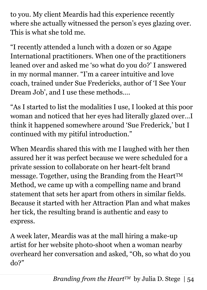to you. My client Meardis had this experience recently where she actually witnessed the person's eyes glazing over. This is what she told me.

"I recently attended a lunch with a dozen or so Agape International practitioners. When one of the practitioners leaned over and asked me 'so what do you do?' I answered in my normal manner. "I'm a career intuitive and love coach, trained under Sue Fredericks, author of 'I See Your Dream Job', and I use these methods….

"As I started to list the modalities I use, I looked at this poor woman and noticed that her eyes had literally glazed over…I think it happened somewhere around 'Sue Frederick,' but I continued with my pitiful introduction."

When Meardis shared this with me I laughed with her then assured her it was perfect because we were scheduled for a private session to collaborate on her heart-felt brand message. Together, using the Branding from the Heart™ Method, we came up with a compelling name and brand statement that sets her apart from others in similar fields. Because it started with her Attraction Plan and what makes her tick, the resulting brand is authentic and easy to express.

A week later, Meardis was at the mall hiring a make-up artist for her website photo-shoot when a woman nearby overheard her conversation and asked, "Oh, so what do you do?"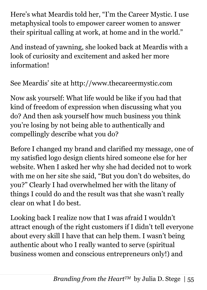Here's what Meardis told her, "I'm the Career Mystic. I use metaphysical tools to empower career women to answer their spiritual calling at work, at home and in the world."

And instead of yawning, she looked back at Meardis with a look of curiosity and excitement and asked her more information!

See Meardis' site at http://www.thecareermystic.com

Now ask yourself: What life would be like if you had that kind of freedom of expression when discussing what you do? And then ask yourself how much business you think you're losing by not being able to authentically and compellingly describe what you do?

Before I changed my brand and clarified my message, one of my satisfied logo design clients hired someone else for her website. When I asked her why she had decided not to work with me on her site she said, "But you don't do websites, do you?" Clearly I had overwhelmed her with the litany of things I could do and the result was that she wasn't really clear on what I do best.

Looking back I realize now that I was afraid I wouldn't attract enough of the right customers if I didn't tell everyone about every skill I have that can help them. I wasn't being authentic about who I really wanted to serve (spiritual business women and conscious entrepreneurs only!) and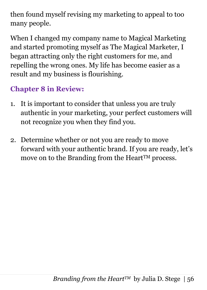then found myself revising my marketing to appeal to too many people.

When I changed my company name to Magical Marketing and started promoting myself as The Magical Marketer, I began attracting only the right customers for me, and repelling the wrong ones. My life has become easier as a result and my business is flourishing.

## **Chapter 8 in Review:**

- 1. It is important to consider that unless you are truly authentic in your marketing, your perfect customers will not recognize you when they find you.
- 2. Determine whether or not you are ready to move forward with your authentic brand. If you are ready, let's move on to the Branding from the Heart<sup>TM</sup> process.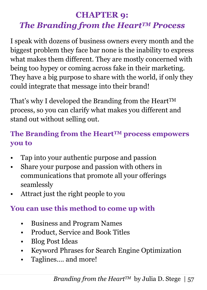# **CHAPTER 9:**  *The Branding from the HeartTM Process*

I speak with dozens of business owners every month and the biggest problem they face bar none is the inability to express what makes them different. They are mostly concerned with being too hypey or coming across fake in their marketing. They have a big purpose to share with the world, if only they could integrate that message into their brand!

That's why I developed the Branding from the Heart<sup>TM</sup> process, so you can clarify what makes you different and stand out without selling out.

## **The Branding from the HeartTM process empowers you to**

- Tap into your authentic purpose and passion
- Share your purpose and passion with others in communications that promote all your offerings seamlessly
- Attract just the right people to you

## **You can use this method to come up with**

- Business and Program Names
- Product, Service and Book Titles
- Blog Post Ideas
- Keyword Phrases for Search Engine Optimization
- Taglines.... and more!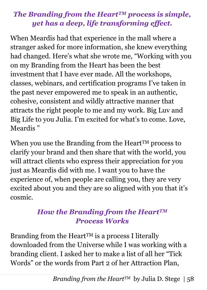### *The Branding from the HeartTM process is simple, yet has a deep, life transforming effect.*

When Meardis had that experience in the mall where a stranger asked for more information, she knew everything had changed. Here's what she wrote me, "Working with you on my Branding from the Heart has been the best investment that I have ever made. All the workshops, classes, webinars, and certification programs I've taken in the past never empowered me to speak in an authentic, cohesive, consistent and wildly attractive manner that attracts the right people to me and my work. Big Luv and Big Life to you Julia. I'm excited for what's to come. Love, Meardis "

When you use the Branding from the Heart<sup>TM</sup> process to clarify your brand and then share that with the world, you will attract clients who express their appreciation for you just as Meardis did with me. I want you to have the experience of, when people are calling you, they are very excited about you and they are so aligned with you that it's cosmic.

#### *How the Branding from the HeartTM Process Works*

Branding from the Heart<sup>TM</sup> is a process I literally downloaded from the Universe while I was working with a branding client. I asked her to make a list of all her "Tick Words" or the words from Part 2 of her Attraction Plan,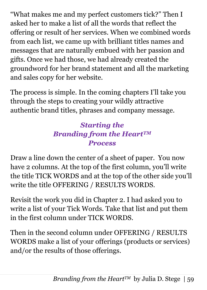"What makes me and my perfect customers tick?" Then I asked her to make a list of all the words that reflect the offering or result of her services. When we combined words from each list, we came up with brilliant titles names and messages that are naturally embued with her passion and gifts. Once we had those, we had already created the groundword for her brand statement and all the marketing and sales copy for her website.

The process is simple. In the coming chapters I'll take you through the steps to creating your wildly attractive authentic brand titles, phrases and company message.

### *Starting the Branding from the HeartTM Process*

Draw a line down the center of a sheet of paper. You now have 2 columns. At the top of the first column, you'll write the title TICK WORDS and at the top of the other side you'll write the title OFFERING / RESULTS WORDS.

Revisit the work you did in Chapter 2. I had asked you to write a list of your Tick Words. Take that list and put them in the first column under TICK WORDS.

Then in the second column under OFFERING / RESULTS WORDS make a list of your offerings (products or services) and/or the results of those offerings.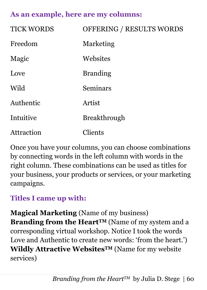#### **As an example, here are my columns:**

| <b>TICK WORDS</b> | OFFERING / RESULTS WORDS |
|-------------------|--------------------------|
| Freedom           | Marketing                |
| Magic             | Websites                 |
| Love              | <b>Branding</b>          |
| Wild              | Seminars                 |
| Authentic         | Artist                   |
| Intuitive         | <b>Breakthrough</b>      |
| Attraction        | Clients                  |

Once you have your columns, you can choose combinations by connecting words in the left column with words in the right column. These combinations can be used as titles for your business, your products or services, or your marketing campaigns.

#### **Titles I came up with:**

**Magical Marketing** (Name of my business) **Branding from the HeartTM** (Name of my system and a corresponding virtual workshop. Notice I took the words Love and Authentic to create new words: 'from the heart.') **Wildly Attractive WebsitesTM** (Name for my website services)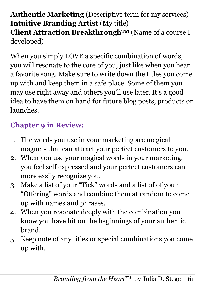### **Authentic Marketing** (Descriptive term for my services) **Intuitive Branding Artist** (My title) **Client Attraction BreakthroughTM** (Name of a course I developed)

When you simply LOVE a specific combination of words, you will resonate to the core of you, just like when you hear a favorite song. Make sure to write down the titles you come up with and keep them in a safe place. Some of them you may use right away and others you'll use later. It's a good idea to have them on hand for future blog posts, products or launches.

## **Chapter 9 in Review:**

- 1. The words you use in your marketing are magical magnets that can attract your perfect customers to you.
- 2. When you use your magical words in your marketing, you feel self expressed and your perfect customers can more easily recognize you.
- 3. Make a list of your "Tick" words and a list of of your "Offering" words and combine them at random to come up with names and phrases.
- 4. When you resonate deeply with the combination you know you have hit on the beginnings of your authentic brand.
- 5. Keep note of any titles or special combinations you come up with.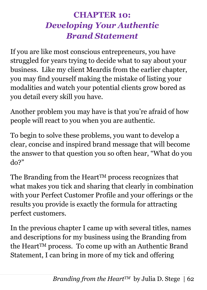## **CHAPTER 10:** *Developing Your Authentic Brand Statement*

If you are like most conscious entrepreneurs, you have struggled for years trying to decide what to say about your business. Like my client Meardis from the earlier chapter, you may find yourself making the mistake of listing your modalities and watch your potential clients grow bored as you detail every skill you have.

Another problem you may have is that you're afraid of how people will react to you when you are authentic.

To begin to solve these problems, you want to develop a clear, concise and inspired brand message that will become the answer to that question you so often hear, "What do you do?"

The Branding from the Heart<sup>TM</sup> process recognizes that what makes you tick and sharing that clearly in combination with your Perfect Customer Profile and your offerings or the results you provide is exactly the formula for attracting perfect customers.

In the previous chapter I came up with several titles, names and descriptions for my business using the Branding from the HeartTM process. To come up with an Authentic Brand Statement, I can bring in more of my tick and offering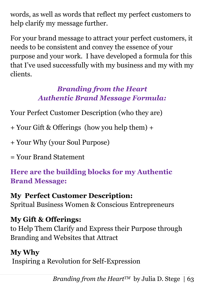words, as well as words that reflect my perfect customers to help clarify my message further.

For your brand message to attract your perfect customers, it needs to be consistent and convey the essence of your purpose and your work. I have developed a formula for this that I've used successfully with my business and my with my clients.

### *Branding from the Heart Authentic Brand Message Formula:*

Your Perfect Customer Description (who they are)

+ Your Gift & Offerings (how you help them) +

+ Your Why (your Soul Purpose)

= Your Brand Statement

**Here are the building blocks for my Authentic Brand Message:**

**My Perfect Customer Description:** Spritual Business Women & Conscious Entrepreneurs

**My Gift & Offerings:** to Help Them Clarify and Express their Purpose through Branding and Websites that Attract

**My Why** Inspiring a Revolution for Self-Expression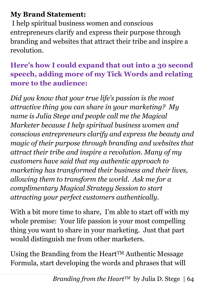#### **My Brand Statement:**

I help spiritual business women and conscious entrepreneurs clarify and express their purpose through branding and websites that attract their tribe and inspire a revolution.

### **Here's how I could expand that out into a 30 second speech, adding more of my Tick Words and relating more to the audience:**

*Did you know that your true life's passion is the most attractive thing you can share in your marketing? My name is Julia Stege and people call me the Magical Marketer because I help spiritual business women and conscious entrepreneurs clarify and express the beauty and magic of their purpose through branding and websites that attract their tribe and inspire a revolution. Many of my customers have said that my authentic approach to marketing has transformed their business and their lives, allowing them to transform the world. Ask me for a complimentary Magical Strategy Session to start attracting your perfect customers authentically.*

With a bit more time to share, I'm able to start off with my whole premise: Your life passion is your most compelling thing you want to share in your marketing. Just that part would distinguish me from other marketers.

Using the Branding from the Heart<sup>TM</sup> Authentic Message Formula, start developing the words and phrases that will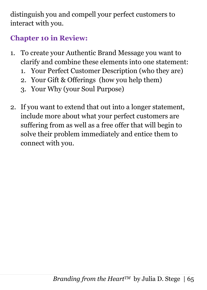distinguish you and compell your perfect customers to interact with you.

## **Chapter 10 in Review:**

- 1. To create your Authentic Brand Message you want to clarify and combine these elements into one statement:
	- 1. Your Perfect Customer Description (who they are)
	- 2. Your Gift & Offerings (how you help them)
	- 3. Your Why (your Soul Purpose)
- 2. If you want to extend that out into a longer statement, include more about what your perfect customers are suffering from as well as a free offer that will begin to solve their problem immediately and entice them to connect with you.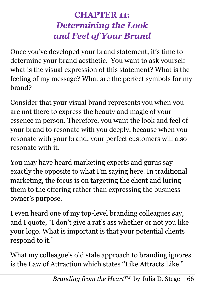# **CHAPTER 11:** *Determining the Look and Feel of Your Brand*

Once you've developed your brand statement, it's time to determine your brand aesthetic. You want to ask yourself what is the visual expression of this statement? What is the feeling of my message? What are the perfect symbols for my brand?

Consider that your visual brand represents you when you are not there to express the beauty and magic of your essence in person. Therefore, you want the look and feel of your brand to resonate with you deeply, because when you resonate with your brand, your perfect customers will also resonate with it.

You may have heard marketing experts and gurus say exactly the opposite to what I'm saying here. In traditional marketing, the focus is on targeting the client and luring them to the offering rather than expressing the business owner's purpose.

I even heard one of my top-level branding colleagues say, and I quote, "I don't give a rat's ass whether or not you like your logo. What is important is that your potential clients respond to it."

What my colleague's old stale approach to branding ignores is the Law of Attraction which states "Like Attracts Like."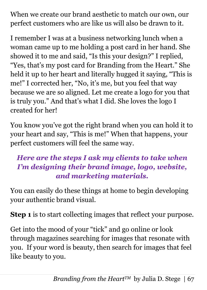When we create our brand aesthetic to match our own, our perfect customers who are like us will also be drawn to it.

I remember I was at a business networking lunch when a woman came up to me holding a post card in her hand. She showed it to me and said, "Is this your design?" I replied, "Yes, that's my post card for Branding from the Heart." She held it up to her heart and literally hugged it saying, "This is me!" I corrected her, "No, it's me, but you feel that way because we are so aligned. Let me create a logo for you that is truly you." And that's what I did. She loves the logo I created for her!

You know you've got the right brand when you can hold it to your heart and say, "This is me!" When that happens, your perfect customers will feel the same way.

### *Here are the steps I ask my clients to take when I'm designing their brand image, logo, website, and marketing materials.*

You can easily do these things at home to begin developing your authentic brand visual.

**Step 1** is to start collecting images that reflect your purpose.

Get into the mood of your "tick" and go online or look through magazines searching for images that resonate with you. If your word is beauty, then search for images that feel like beauty to you.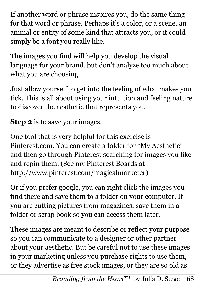If another word or phrase inspires you, do the same thing for that word or phrase. Perhaps it's a color, or a scene, an animal or entity of some kind that attracts you, or it could simply be a font you really like.

The images you find will help you develop the visual language for your brand, but don't analyze too much about what you are choosing.

Just allow yourself to get into the feeling of what makes you tick. This is all about using your intuition and feeling nature to discover the aesthetic that represents you.

**Step 2** is to save your images.

One tool that is very helpful for this exercise is Pinterest.com. You can create a folder for "My Aesthetic" and then go through Pinterest searching for images you like and repin them. (See my Pinterest Boards at http://www.pinterest.com/magicalmarketer)

Or if you prefer google, you can right click the images you find there and save them to a folder on your computer. If you are cutting pictures from magazines, save them in a folder or scrap book so you can access them later.

These images are meant to describe or reflect your purpose so you can communicate to a designer or other partner about your aesthetic. But be careful not to use these images in your marketing unless you purchase rights to use them, or they advertise as free stock images, or they are so old as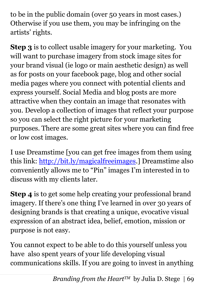to be in the public domain (over 50 years in most cases.) Otherwise if you use them, you may be infringing on the artists' rights.

**Step 3** is to collect usable imagery for your marketing. You will want to purchase imagery from stock image sites for your brand visual (ie logo or main aesthetic design) as well as for posts on your facebook page, blog and other social media pages where you connect with potential clients and express yourself. Social Media and blog posts are more attractive when they contain an image that resonates with you. Develop a collection of images that reflect your purpose so you can select the right picture for your marketing purposes. There are some great sites where you can find free or low cost images.

I use Dreamstime [you can get free images from them using this link: [http://bit.ly/magicalfreeimages.](http://bit.ly/magicalfreeimages)] Dreamstime also conveniently allows me to "Pin" images I'm interested in to discuss with my clients later.

**Step 4** is to get some help creating your professional brand imagery. If there's one thing I've learned in over 30 years of designing brands is that creating a unique, evocative visual expression of an abstract idea, belief, emotion, mission or purpose is not easy.

You cannot expect to be able to do this yourself unless you have also spent years of your life developing visual communications skills. If you are going to invest in anything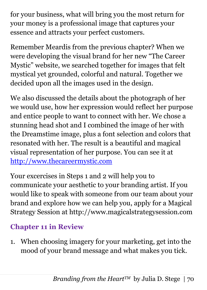for your business, what will bring you the most return for your money is a professional image that captures your essence and attracts your perfect customers.

Remember Meardis from the previous chapter? When we were developing the visual brand for her new "The Career Mystic" website, we searched together for images that felt mystical yet grounded, colorful and natural. Together we decided upon all the images used in the design.

We also discussed the details about the photograph of her we would use, how her expression would reflect her purpose and entice people to want to connect with her. We chose a stunning head shot and I combined the image of her with the Dreamstime image, plus a font selection and colors that resonated with her. The result is a beautiful and magical visual representation of her purpose. You can see it at [http://www.thecareermystic.com](http://www.thecareermystic.com/)

Your excercises in Steps 1 and 2 will help you to communicate your aesthetic to your branding artist. If you would like to speak with someone from our team about your brand and explore how we can help you, apply for a Magical Strategy Session at http://www.magicalstrategysession.com

## **Chapter 11 in Review**

1. When choosing imagery for your marketing, get into the mood of your brand message and what makes you tick.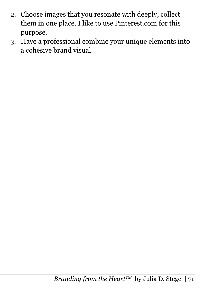- 2. Choose images that you resonate with deeply, collect them in one place. I like to use Pinterest.com for this purpose.
- 3. Have a professional combine your unique elements into a cohesive brand visual.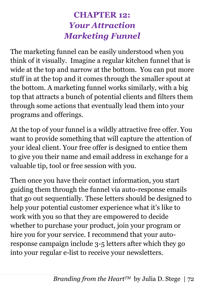# **CHAPTER 12:** *Your Attraction Marketing Funnel*

The marketing funnel can be easily understood when you think of it visually. Imagine a regular kitchen funnel that is wide at the top and narrow at the bottom. You can put more stuff in at the top and it comes through the smaller spout at the bottom. A marketing funnel works similarly, with a big top that attracts a bunch of potential clients and filters them through some actions that eventually lead them into your programs and offerings.

At the top of your funnel is a wildly attractive free offer. You want to provide something that will capture the attention of your ideal client. Your free offer is designed to entice them to give you their name and email address in exchange for a valuable tip, tool or free session with you.

Then once you have their contact information, you start guiding them through the funnel via auto-response emails that go out sequentially. These letters should be designed to help your potential customer experience what it's like to work with you so that they are empowered to decide whether to purchase your product, join your program or hire you for your service. I recommend that your autoresponse campaign include 3-5 letters after which they go into your regular e-list to receive your newsletters.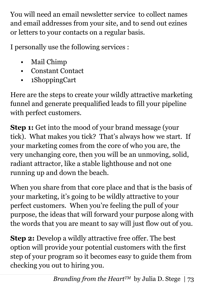You will need an email newsletter service to collect names and email addresses from your site, and to send out ezines or letters to your contacts on a regular basis.

I personally use the following services :

- Mail Chimp
- Constant Contact
- 1ShoppingCart

Here are the steps to create your wildly attractive marketing funnel and generate prequalified leads to fill your pipeline with perfect customers.

**Step 1:** Get into the mood of your brand message (your tick). What makes you tick? That's always how we start. If your marketing comes from the core of who you are, the very unchanging core, then you will be an unmoving, solid, radiant attractor, like a stable lighthouse and not one running up and down the beach.

When you share from that core place and that is the basis of your marketing, it's going to be wildly attractive to your perfect customers. When you're feeling the pull of your purpose, the ideas that will forward your purpose along with the words that you are meant to say will just flow out of you.

**Step 2:** Develop a wildly attractive free offer. The best option will provide your potential customers with the first step of your program so it becomes easy to guide them from checking you out to hiring you.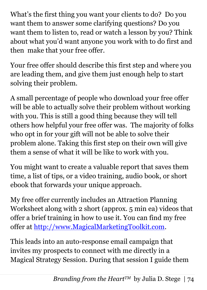What's the first thing you want your clients to do? Do you want them to answer some clarifying questions? Do you want them to listen to, read or watch a lesson by you? Think about what you'd want anyone you work with to do first and then make that your free offer.

Your free offer should describe this first step and where you are leading them, and give them just enough help to start solving their problem.

A small percentage of people who download your free offer will be able to actually solve their problem without working with you. This is still a good thing because they will tell others how helpful your free offer was. The majority of folks who opt in for your gift will not be able to solve their problem alone. Taking this first step on their own will give them a sense of what it will be like to work with you.

You might want to create a valuable report that saves them time, a list of tips, or a video training, audio book, or short ebook that forwards your unique approach.

My free offer currently includes an Attraction Planning Worksheet along with 2 short (approx. 5 min ea) videos that offer a brief training in how to use it. You can find my free offer at [http://www.MagicalMarketingToolkit.com.](http://www.magicalmarketingtoolkit.com/)

This leads into an auto-response email campaign that invites my prospects to connect with me directly in a Magical Strategy Session. During that session I guide them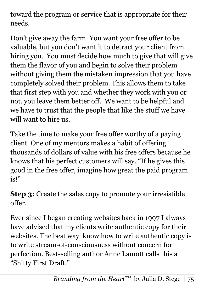toward the program or service that is appropriate for their needs.

Don't give away the farm. You want your free offer to be valuable, but you don't want it to detract your client from hiring you. You must decide how much to give that will give them the flavor of you and begin to solve their problem without giving them the mistaken impression that you have completely solved their problem. This allows them to take that first step with you and whether they work with you or not, you leave them better off. We want to be helpful and we have to trust that the people that like the stuff we have will want to hire us.

Take the time to make your free offer worthy of a paying client. One of my mentors makes a habit of offering thousands of dollars of value with his free offers because he knows that his perfect customers will say, "If he gives this good in the free offer, imagine how great the paid program is!"

**Step 3:** Create the sales copy to promote your irresistible offer.

Ever since I began creating websites back in 1997 I always have advised that my clients write authentic copy for their websites. The best way know how to write authentic copy is to write stream-of-consciousness without concern for perfection. Best-selling author Anne Lamott calls this a "Shitty First Draft."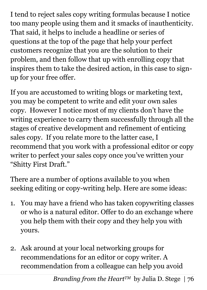I tend to reject sales copy writing formulas because I notice too many people using them and it smacks of inauthenticity. That said, it helps to include a headline or series of questions at the top of the page that help your perfect customers recognize that you are the solution to their problem, and then follow that up with enrolling copy that inspires them to take the desired action, in this case to signup for your free offer.

If you are accustomed to writing blogs or marketing text, you may be competent to write and edit your own sales copy. However I notice most of my clients don't have the writing experience to carry them successfully through all the stages of creative development and refinement of enticing sales copy. If you relate more to the latter case, I recommend that you work with a professional editor or copy writer to perfect your sales copy once you've written your "Shitty First Draft."

There are a number of options available to you when seeking editing or copy-writing help. Here are some ideas:

- 1. You may have a friend who has taken copywriting classes or who is a natural editor. Offer to do an exchange where you help them with their copy and they help you with yours.
- 2. Ask around at your local networking groups for recommendations for an editor or copy writer. A recommendation from a colleague can help you avoid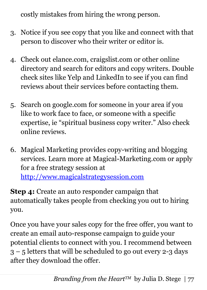costly mistakes from hiring the wrong person.

- 3. Notice if you see copy that you like and connect with that person to discover who their writer or editor is.
- 4. Check out elance.com, craigslist.com or other online directory and search for editors and copy writers. Double check sites like Yelp and LinkedIn to see if you can find reviews about their services before contacting them.
- 5. Search on google.com for someone in your area if you like to work face to face, or someone with a specific expertise, ie "spiritual business copy writer." Also check online reviews.
- 6. Magical Marketing provides copy-writing and blogging services. Learn more at Magical-Marketing.com or apply for a free strategy session at [http://www.magicalstrategysession.com](http://www.magicalstrategysession.com/)

**Step 4:** Create an auto responder campaign that automatically takes people from checking you out to hiring you.

Once you have your sales copy for the free offer, you want to create an email auto-response campaign to guide your potential clients to connect with you. I recommend between  $3 - 5$  letters that will be scheduled to go out every 2-3 days after they download the offer.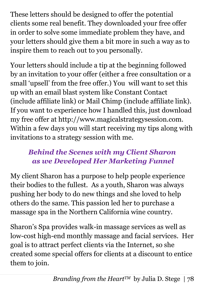These letters should be designed to offer the potential clients some real benefit. They downloaded your free offer in order to solve some immediate problem they have, and your letters should give them a bit more in such a way as to inspire them to reach out to you personally.

Your letters should include a tip at the beginning followed by an invitation to your offer (either a free consultation or a small 'upsell' from the free offer.) You will want to set this up with an email blast system like Constant Contact (include affiliate link) or Mail Chimp (include affiliate link). If you want to experience how I handled this, just download my free offer at http://www.magicalstrategysession.com. Within a few days you will start receiving my tips along with invitations to a strategy session with me.

## *Behind the Scenes with my Client Sharon as we Developed Her Marketing Funnel*

My client Sharon has a purpose to help people experience their bodies to the fullest. As a youth, Sharon was always pushing her body to do new things and she loved to help others do the same. This passion led her to purchase a massage spa in the Northern California wine country.

Sharon's Spa provides walk-in massage services as well as low-cost high-end monthly massage and facial services. Her goal is to attract perfect clients via the Internet, so she created some special offers for clients at a discount to entice them to join.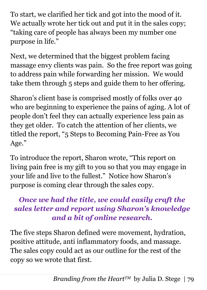To start, we clarified her tick and got into the mood of it. We actually wrote her tick out and put it in the sales copy; "taking care of people has always been my number one purpose in life."

Next, we determined that the biggest problem facing massage envy clients was pain. So the free report was going to address pain while forwarding her mission. We would take them through 5 steps and guide them to her offering.

Sharon's client base is comprised mostly of folks over 40 who are beginning to experience the pains of aging. A lot of people don't feel they can actually experience less pain as they get older. To catch the attention of her clients, we titled the report, "5 Steps to Becoming Pain-Free as You Age."

To introduce the report, Sharon wrote, "This report on living pain free is my gift to you so that you may engage in your life and live to the fullest." Notice how Sharon's purpose is coming clear through the sales copy.

### *Once we had the title, we could easily craft the sales letter and report using Sharon's knowledge and a bit of online research.*

The five steps Sharon defined were movement, hydration, positive attitude, anti inflammatory foods, and massage. The sales copy could act as our outline for the rest of the copy so we wrote that first.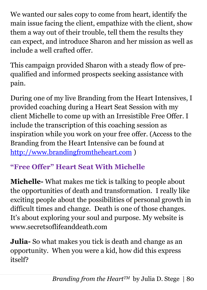We wanted our sales copy to come from heart, identify the main issue facing the client, empathize with the client, show them a way out of their trouble, tell them the results they can expect, and introduce Sharon and her mission as well as include a well crafted offer.

This campaign provided Sharon with a steady flow of prequalified and informed prospects seeking assistance with pain.

During one of my live Branding from the Heart Intensives, I provided coaching during a Heart Seat Session with my client Michelle to come up with an Irresistible Free Offer. I include the transcription of this coaching session as inspiration while you work on your free offer. (Access to the Branding from the Heart Intensive can be found at [http://www.brandingfromtheheart.com](http://www.brandingfromtheheart.com/) )

# **"Free Offer" Heart Seat With Michelle**

**Michelle-** What makes me tick is talking to people about the opportunities of death and transformation. I really like exciting people about the possibilities of personal growth in difficult times and change. Death is one of those changes. It's about exploring your soul and purpose. My website is www.secretsoflifeanddeath.com

**Julia-** So what makes you tick is death and change as an opportunity. When you were a kid, how did this express itself?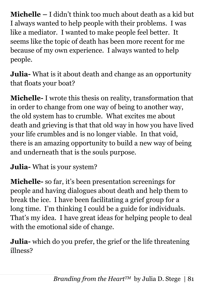**Michelle –** I didn't think too much about death as a kid but I always wanted to help people with their problems. I was like a mediator. I wanted to make people feel better. It seems like the topic of death has been more recent for me because of my own experience. I always wanted to help people.

**Julia-** What is it about death and change as an opportunity that floats your boat?

**Michelle-** I wrote this thesis on reality, transformation that in order to change from one way of being to another way, the old system has to crumble. What excites me about death and grieving is that that old way in how you have lived your life crumbles and is no longer viable. In that void, there is an amazing opportunity to build a new way of being and underneath that is the souls purpose.

**Julia-** What is your system?

**Michelle-** so far, it's been presentation screenings for people and having dialogues about death and help them to break the ice. I have been facilitating a grief group for a long time. I'm thinking I could be a guide for individuals. That's my idea. I have great ideas for helping people to deal with the emotional side of change.

**Julia-** which do you prefer, the grief or the life threatening illness?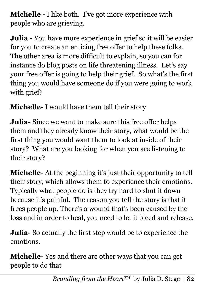**Michelle -** I like both. I've got more experience with people who are grieving.

**Julia -** You have more experience in grief so it will be easier for you to create an enticing free offer to help these folks. The other area is more difficult to explain, so you can for instance do blog posts on life threatening illness. Let's say your free offer is going to help their grief. So what's the first thing you would have someone do if you were going to work with grief?

**Michelle-** I would have them tell their story

**Julia-** Since we want to make sure this free offer helps them and they already know their story, what would be the first thing you would want them to look at inside of their story? What are you looking for when you are listening to their story?

**Michelle-** At the beginning it's just their opportunity to tell their story, which allows them to experience their emotions. Typically what people do is they try hard to shut it down because it's painful. The reason you tell the story is that it frees people up. There's a wound that's been caused by the loss and in order to heal, you need to let it bleed and release.

**Julia-** So actually the first step would be to experience the emotions.

**Michelle-** Yes and there are other ways that you can get people to do that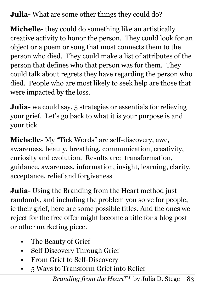**Julia-** What are some other things they could do?

**Michelle-** they could do something like an artistically creative activity to honor the person. They could look for an object or a poem or song that most connects them to the person who died. They could make a list of attributes of the person that defines who that person was for them. They could talk about regrets they have regarding the person who died. People who are most likely to seek help are those that were impacted by the loss.

**Julia-** we could say, 5 strategies or essentials for relieving your grief. Let's go back to what it is your purpose is and your tick

**Michelle-** My "Tick Words" are self-discovery, awe, awareness, beauty, breathing, communication, creativity, curiosity and evolution. Results are: transformation, guidance, awareness, information, insight, learning, clarity, acceptance, relief and forgiveness

**Julia-** Using the Branding from the Heart method just randomly, and including the problem you solve for people, ie their grief, here are some possible titles. And the ones we reject for the free offer might become a title for a blog post or other marketing piece.

- The Beauty of Grief
- Self Discovery Through Grief
- From Grief to Self-Discovery
- 5 Ways to Transform Grief into Relief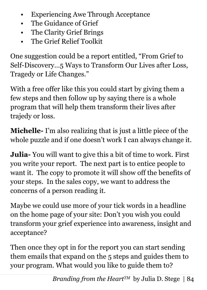- Experiencing Awe Through Acceptance
- The Guidance of Grief
- The Clarity Grief Brings
- The Grief Relief Toolkit

One suggestion could be a report entitled, "From Grief to Self-Discovery…5 Ways to Transform Our Lives after Loss, Tragedy or Life Changes."

With a free offer like this you could start by giving them a few steps and then follow up by saying there is a whole program that will help them transform their lives after trajedy or loss.

**Michelle-** I'm also realizing that is just a little piece of the whole puzzle and if one doesn't work I can always change it.

**Julia-** You will want to give this a bit of time to work. First you write your report. The next part is to entice people to want it. The copy to promote it will show off the benefits of your steps. In the sales copy, we want to address the concerns of a person reading it.

Maybe we could use more of your tick words in a headline on the home page of your site: Don't you wish you could transform your grief experience into awareness, insight and acceptance?

Then once they opt in for the report you can start sending them emails that expand on the 5 steps and guides them to your program. What would you like to guide them to?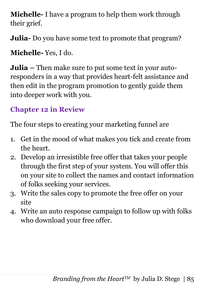**Michelle-** I have a program to help them work through their grief.

**Julia-** Do you have some text to promote that program?

**Michelle-** Yes, I do.

**Julia –** Then make sure to put some text in your autoresponders in a way that provides heart-felt assistance and then edit in the program promotion to gently guide them into deeper work with you.

# **Chapter 12 in Review**

The four steps to creating your marketing funnel are

- 1. Get in the mood of what makes you tick and create from the heart.
- 2. Develop an irresistible free offer that takes your people through the first step of your system. You will offer this on your site to collect the names and contact information of folks seeking your services.
- 3. Write the sales copy to promote the free offer on your site
- 4. Write an auto response campaign to follow up with folks who download your free offer.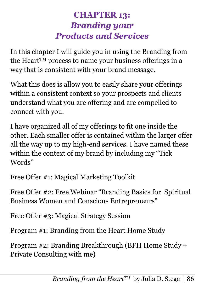# **CHAPTER 13:** *Branding your Products and Services*

In this chapter I will guide you in using the Branding from the Heart<sup>TM</sup> process to name your business offerings in a way that is consistent with your brand message.

What this does is allow you to easily share your offerings within a consistent context so your prospects and clients understand what you are offering and are compelled to connect with you.

I have organized all of my offerings to fit one inside the other. Each smaller offer is contained within the larger offer all the way up to my high-end services. I have named these within the context of my brand by including my "Tick Words"

Free Offer #1: Magical Marketing Toolkit

Free Offer #2: Free Webinar "Branding Basics for Spiritual Business Women and Conscious Entrepreneurs"

Free Offer #3: Magical Strategy Session

Program #1: Branding from the Heart Home Study

Program #2: Branding Breakthrough (BFH Home Study + Private Consulting with me)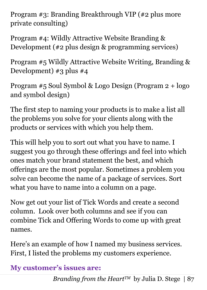Program #3: Branding Breakthrough VIP (#2 plus more private consulting)

Program #4: Wildly Attractive Website Branding & Development (#2 plus design & programming services)

Program #5 Wildly Attractive Website Writing, Branding & Development) #3 plus #4

Program #5 Soul Symbol & Logo Design (Program 2 + logo and symbol design)

The first step to naming your products is to make a list all the problems you solve for your clients along with the products or services with which you help them.

This will help you to sort out what you have to name. I suggest you go through these offerings and feel into which ones match your brand statement the best, and which offerings are the most popular. Sometimes a problem you solve can become the name of a package of services. Sort what you have to name into a column on a page.

Now get out your list of Tick Words and create a second column. Look over both columns and see if you can combine Tick and Offering Words to come up with great names.

Here's an example of how I named my business services. First, I listed the problems my customers experience.

# **My customer's issues are:**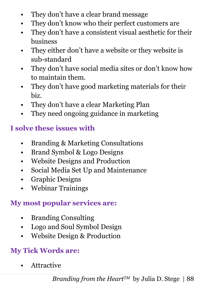- They don't have a clear brand message
- They don't know who their perfect customers are
- They don't have a consistent visual aesthetic for their business
- They either don't have a website or they website is sub-standard
- They don't have social media sites or don't know how to maintain them.
- They don't have good marketing materials for their biz.
- They don't have a clear Marketing Plan
- They need ongoing guidance in marketing

### **I solve these issues with**

- Branding & Marketing Consultations
- Brand Symbol & Logo Designs
- Website Designs and Production
- Social Media Set Up and Maintenance
- Graphic Designs
- Webinar Trainings

#### **My most popular services are:**

- Branding Consulting
- Logo and Soul Symbol Design
- Website Design & Production

# **My Tick Words are:**

**Attractive**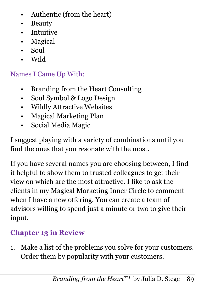- Authentic (from the heart)
- Beauty
- Intuitive
- Magical
- Soul
- Wild

#### Names I Came Up With:

- Branding from the Heart Consulting
- Soul Symbol & Logo Design
- Wildly Attractive Websites
- Magical Marketing Plan
- Social Media Magic

I suggest playing with a variety of combinations until you find the ones that you resonate with the most.

If you have several names you are choosing between, I find it helpful to show them to trusted colleagues to get their view on which are the most attractive. I like to ask the clients in my Magical Marketing Inner Circle to comment when I have a new offering. You can create a team of advisors willing to spend just a minute or two to give their input.

### **Chapter 13 in Review**

1. Make a list of the problems you solve for your customers. Order them by popularity with your customers.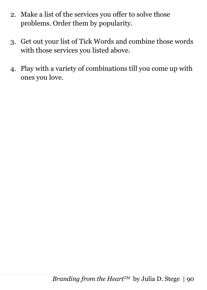- 2. Make a list of the services you offer to solve those problems. Order them by popularity.
- 3. Get out your list of Tick Words and combine those words with those services you listed above.
- 4. Play with a variety of combinations till you come up with ones you love.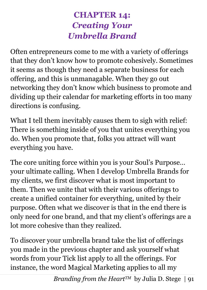# **CHAPTER 14:** *Creating Your Umbrella Brand*

Often entrepreneurs come to me with a variety of offerings that they don't know how to promote cohesively. Sometimes it seems as though they need a separate business for each offering, and this is unmanagable. When they go out networking they don't know which business to promote and dividing up their calendar for marketing efforts in too many directions is confusing.

What I tell them inevitably causes them to sigh with relief: There is something inside of you that unites everything you do. When you promote that, folks you attract will want everything you have.

The core uniting force within you is your Soul's Purpose… your ultimate calling. When I develop Umbrella Brands for my clients, we first discover what is most important to them. Then we unite that with their various offerings to create a unified container for everything, united by their purpose. Often what we discover is that in the end there is only need for one brand, and that my client's offerings are a lot more cohesive than they realized.

To discover your umbrella brand take the list of offerings you made in the previous chapter and ask yourself what words from your Tick list apply to all the offerings. For instance, the word Magical Marketing applies to all my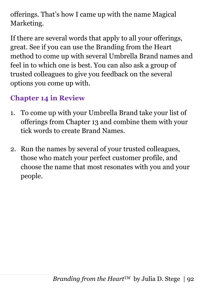offerings. That's how I came up with the name Magical Marketing.

If there are several words that apply to all your offerings, great. See if you can use the Branding from the Heart method to come up with several Umbrella Brand names and feel in to which one is best. You can also ask a group of trusted colleagues to give you feedback on the several options you come up with.

### **Chapter 14 in Review**

- 1. To come up with your Umbrella Brand take your list of offerings from Chapter 13 and combine them with your tick words to create Brand Names.
- 2. Run the names by several of your trusted colleagues, those who match your perfect customer profile, and choose the name that most resonates with you and your people.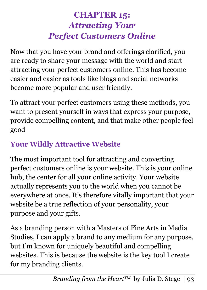# **CHAPTER 15:**  *Attracting Your Perfect Customers Online*

Now that you have your brand and offerings clarified, you are ready to share your message with the world and start attracting your perfect customers online. This has become easier and easier as tools like blogs and social networks become more popular and user friendly.

To attract your perfect customers using these methods, you want to present yourself in ways that express your purpose, provide compelling content, and that make other people feel good

# **Your Wildly Attractive Website**

The most important tool for attracting and converting perfect customers online is your website. This is your online hub, the center for all your online activity. Your website actually represents you to the world when you cannot be everywhere at once. It's therefore vitally important that your website be a true reflection of your personality, your purpose and your gifts.

As a branding person with a Masters of Fine Arts in Media Studies, I can apply a brand to any medium for any purpose, but I'm known for uniquely beautiful and compelling websites. This is because the website is the key tool I create for my branding clients.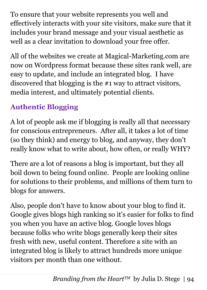To ensure that your website represents you well and effectively interacts with your site visitors, make sure that it includes your brand message and your visual aesthetic as well as a clear invitation to download your free offer.

All of the websites we create at Magical-Marketing.com are now on Wordpress format because these sites rank well, are easy to update, and include an integrated blog. I have discovered that blogging is the #1 way to attract visitors, media interest, and ultimately potential clients.

# **Authentic Blogging**

A lot of people ask me if blogging is really all that necessary for conscious entrepreneurs. After all, it takes a lot of time (so they think) and energy to blog, and anyway, they don't really know what to write about, how often, or really WHY?

There are a lot of reasons a blog is important, but they all boil down to being found online. People are looking online for solutions to their problems, and millions of them turn to blogs for answers.

Also, people don't have to know about your blog to find it. Google gives blogs high ranking so it's easier for folks to find you when you have an active blog. Google loves blogs because folks who write blogs generally keep their sites fresh with new, useful content. Therefore a site with an integrated blog is likely to attract hundreds more unique visitors per month than one without.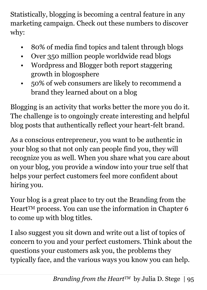Statistically, blogging is becoming a central feature in any marketing campaign. Check out these numbers to discover why:

- 80% of media find topics and talent through blogs
- Over 350 million people worldwide read blogs
- Wordpress and Blogger both report staggering growth in blogosphere
- 50% of web consumers are likely to recommend a brand they learned about on a blog

Blogging is an activity that works better the more you do it. The challenge is to ongoingly create interesting and helpful blog posts that authentically reflect your heart-felt brand.

As a conscious entrepreneur, you want to be authentic in your blog so that not only can people find you, they will recognize you as well. When you share what you care about on your blog, you provide a window into your true self that helps your perfect customers feel more confident about hiring you.

Your blog is a great place to try out the Branding from the Heart™ process. You can use the information in Chapter 6 to come up with blog titles.

I also suggest you sit down and write out a list of topics of concern to you and your perfect customers. Think about the questions your customers ask you, the problems they typically face, and the various ways you know you can help.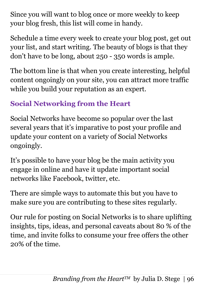Since you will want to blog once or more weekly to keep your blog fresh, this list will come in handy.

Schedule a time every week to create your blog post, get out your list, and start writing. The beauty of blogs is that they don't have to be long, about 250 - 350 words is ample.

The bottom line is that when you create interesting, helpful content ongoingly on your site, you can attract more traffic while you build your reputation as an expert.

# **Social Networking from the Heart**

Social Networks have become so popular over the last several years that it's imparative to post your profile and update your content on a variety of Social Networks ongoingly.

It's possible to have your blog be the main activity you engage in online and have it update important social networks like Facebook, twitter, etc.

There are simple ways to automate this but you have to make sure you are contributing to these sites regularly.

Our rule for posting on Social Networks is to share uplifting insights, tips, ideas, and personal caveats about 80 % of the time, and invite folks to consume your free offers the other 20% of the time.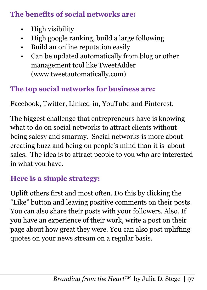#### **The benefits of social networks are:**

- High visibility
- High google ranking, build a large following
- Build an online reputation easily
- Can be updated automatically from blog or other management tool like TweetAdder (www.tweetautomatically.com)

### **The top social networks for business are:**

Facebook, Twitter, Linked-in, YouTube and Pinterest.

The biggest challenge that entrepreneurs have is knowing what to do on social networks to attract clients without being salesy and smarmy. Social networks is more about creating buzz and being on people's mind than it is about sales. The idea is to attract people to you who are interested in what you have.

### **Here is a simple strategy:**

Uplift others first and most often. Do this by clicking the "Like" button and leaving positive comments on their posts. You can also share their posts with your followers. Also, If you have an experience of their work, write a post on their page about how great they were. You can also post uplifting quotes on your news stream on a regular basis.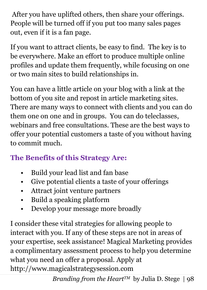After you have uplifted others, then share your offerings. People will be turned off if you put too many sales pages out, even if it is a fan page.

If you want to attract clients, be easy to find. The key is to be everywhere. Make an effort to produce multiple online profiles and update them frequently, while focusing on one or two main sites to build relationships in.

You can have a little article on your blog with a link at the bottom of you site and repost in article marketing sites. There are many ways to connect with clients and you can do them one on one and in groups. You can do teleclasses, webinars and free consultations. These are the best ways to offer your potential customers a taste of you without having to commit much.

# **The Benefits of this Strategy Are:**

- Build your lead list and fan base
- Give potential clients a taste of your offerings
- Attract joint venture partners
- Build a speaking platform
- Develop your message more broadly

I consider these vital strategies for allowing people to interact with you. If any of these steps are not in areas of your expertise, seek assistance! Magical Marketing provides a complimentary assessment process to help you determine what you need an offer a proposal. Apply at http://www.magicalstrategysession.com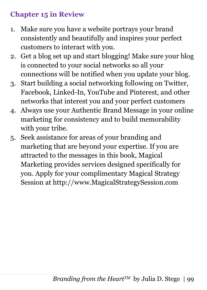#### **Chapter 15 in Review**

- 1. Make sure you have a website portrays your brand consistently and beautifully and inspires your perfect customers to interact with you.
- 2. Get a blog set up and start blogging! Make sure your blog is connected to your social networks so all your connections will be notified when you update your blog.
- 3. Start building a social networking following on Twitter, Facebook, Linked-In, YouTube and Pinterest, and other networks that interest you and your perfect customers
- 4. Always use your Authentic Brand Message in your online marketing for consistency and to build memorability with your tribe.
- 5. Seek assistance for areas of your branding and marketing that are beyond your expertise. If you are attracted to the messages in this book, Magical Marketing provides services designed specifically for you. Apply for your complimentary Magical Strategy Session at http://www.MagicalStrategySession.com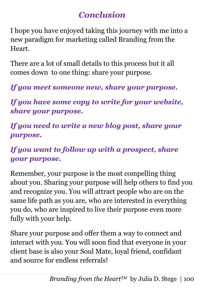# *Conclusion*

I hope you have enjoyed taking this journey with me into a new paradigm for marketing called Branding from the Heart.

There are a lot of small details to this process but it all comes down to one thing: share your purpose.

*If you meet someone new, share your purpose.*

*If you have some copy to write for your website, share your purpose.*

*If you need to write a new blog post, share your purpose.*

#### *If you want to follow up with a prospect, share your purpose.*

Remember, your purpose is the most compelling thing about you. Sharing your purpose will help others to find you and recognize you. You will attract people who are on the same life path as you are, who are interested in everything you do, who are inspired to live their purpose even more fully with your help.

Share your purpose and offer them a way to connect and interact with you. You will soon find that everyone in your client base is also your Soul Mate, loyal friend, confidant and source for endless referrals!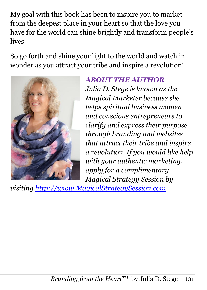My goal with this book has been to inspire you to market from the deepest place in your heart so that the love you have for the world can shine brightly and transform people's lives.

So go forth and shine your light to the world and watch in wonder as you attract your tribe and inspire a revolution!



#### *ABOUT THE AUTHOR*

*Julia D. Stege is known as the Magical Marketer because she helps spiritual business women and conscious entrepreneurs to clarify and express their purpose through branding and websites that attract their tribe and inspire a revolution. If you would like help with your authentic marketing, apply for a complimentary Magical Strategy Session by* 

*visiting [http://www.MagicalStrategySession.com](http://www.magicalstrategysession.com/)*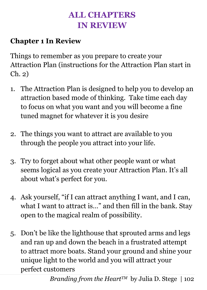# **ALL CHAPTERS IN REVIEW**

#### **Chapter 1 In Review**

Things to remember as you prepare to create your Attraction Plan (instructions for the Attraction Plan start in Ch. 2)

- 1. The Attraction Plan is designed to help you to develop an attraction based mode of thinking. Take time each day to focus on what you want and you will become a fine tuned magnet for whatever it is you desire
- 2. The things you want to attract are available to you through the people you attract into your life.
- 3. Try to forget about what other people want or what seems logical as you create your Attraction Plan. It's all about what's perfect for you.
- 4. Ask yourself, "if I can attract anything I want, and I can, what I want to attract is…" and then fill in the bank. Stay open to the magical realm of possibility.
- 5. Don't be like the lighthouse that sprouted arms and legs and ran up and down the beach in a frustrated attempt to attract more boats. Stand your ground and shine your unique light to the world and you will attract your perfect customers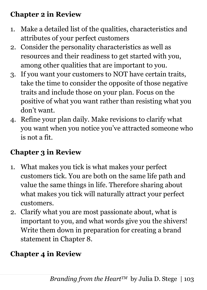### **Chapter 2 in Review**

- 1. Make a detailed list of the qualities, characteristics and attributes of your perfect customers
- 2. Consider the personality characteristics as well as resources and their readiness to get started with you, among other qualities that are important to you.
- 3. If you want your customers to NOT have certain traits, take the time to consider the opposite of those negative traits and include those on your plan. Focus on the positive of what you want rather than resisting what you don't want.
- 4. Refine your plan daily. Make revisions to clarify what you want when you notice you've attracted someone who is not a fit.

# **Chapter 3 in Review**

- 1. What makes you tick is what makes your perfect customers tick. You are both on the same life path and value the same things in life. Therefore sharing about what makes you tick will naturally attract your perfect customers.
- 2. Clarify what you are most passionate about, what is important to you, and what words give you the shivers! Write them down in preparation for creating a brand statement in Chapter 8.

# **Chapter 4 in Review**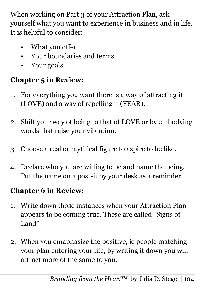When working on Part 3 of your Attraction Plan, ask yourself what you want to experience in business and in life. It is helpful to consider:

- What you offer
- Your boundaries and terms
- Your goals

# **Chapter 5 in Review:**

- 1. For everything you want there is a way of attracting it (LOVE) and a way of repelling it (FEAR).
- 2. Shift your way of being to that of LOVE or by embodying words that raise your vibration.
- 3. Choose a real or mythical figure to aspire to be like.
- 4. Declare who you are willing to be and name the being. Put the name on a post-it by your desk as a reminder.

#### **Chapter 6 in Review:**

- 1. Write down those instances when your Attraction Plan appears to be coming true. These are called "Signs of Land"
- 2. When you emaphasize the positive, ie people matching your plan entering your life, by writing it down you will attract more of the same to you.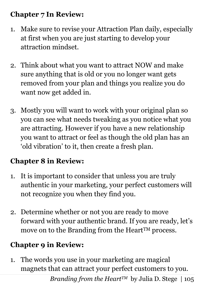#### **Chapter 7 In Review:**

- 1. Make sure to revise your Attraction Plan daily, especially at first when you are just starting to develop your attraction mindset.
- 2. Think about what you want to attract NOW and make sure anything that is old or you no longer want gets removed from your plan and things you realize you do want now get added in.
- 3. Mostly you will want to work with your original plan so you can see what needs tweaking as you notice what you are attracting. However if you have a new relationship you want to attract or feel as though the old plan has an 'old vibration' to it, then create a fresh plan.

# **Chapter 8 in Review:**

- 1. It is important to consider that unless you are truly authentic in your marketing, your perfect customers will not recognize you when they find you.
- 2. Determine whether or not you are ready to move forward with your authentic brand. If you are ready, let's move on to the Branding from the Heart<sup>TM</sup> process.

### **Chapter 9 in Review:**

1. The words you use in your marketing are magical magnets that can attract your perfect customers to you.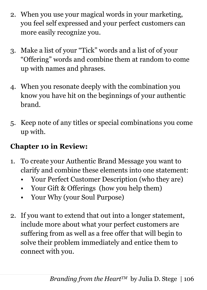- 2. When you use your magical words in your marketing, you feel self expressed and your perfect customers can more easily recognize you.
- 3. Make a list of your "Tick" words and a list of of your "Offering" words and combine them at random to come up with names and phrases.
- 4. When you resonate deeply with the combination you know you have hit on the beginnings of your authentic brand.
- 5. Keep note of any titles or special combinations you come up with.

### **Chapter 10 in Review:**

- 1. To create your Authentic Brand Message you want to clarify and combine these elements into one statement:
	- Your Perfect Customer Description (who they are)
	- Your Gift & Offerings (how you help them)
	- Your Why (your Soul Purpose)
- 2. If you want to extend that out into a longer statement, include more about what your perfect customers are suffering from as well as a free offer that will begin to solve their problem immediately and entice them to connect with you.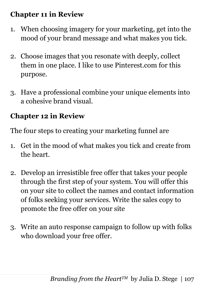#### **Chapter 11 in Review**

- 1. When choosing imagery for your marketing, get into the mood of your brand message and what makes you tick.
- 2. Choose images that you resonate with deeply, collect them in one place. I like to use Pinterest.com for this purpose.
- 3. Have a professional combine your unique elements into a cohesive brand visual.

### **Chapter 12 in Review**

The four steps to creating your marketing funnel are

- 1. Get in the mood of what makes you tick and create from the heart.
- 2. Develop an irresistible free offer that takes your people through the first step of your system. You will offer this on your site to collect the names and contact information of folks seeking your services. Write the sales copy to promote the free offer on your site
- 3. Write an auto response campaign to follow up with folks who download your free offer.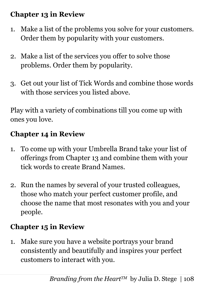## **Chapter 13 in Review**

- 1. Make a list of the problems you solve for your customers. Order them by popularity with your customers.
- 2. Make a list of the services you offer to solve those problems. Order them by popularity.
- 3. Get out your list of Tick Words and combine those words with those services you listed above.

4. Play with a variety of combinations till you come up with ones you love.

## **Chapter 14 in Review**

- 1. To come up with your Umbrella Brand take your list of offerings from Chapter 13 and combine them with your tick words to create Brand Names.
- 2. Run the names by several of your trusted colleagues, those who match your perfect customer profile, and choose the name that most resonates with you and your people.

## **Chapter 15 in Review**

1. Make sure you have a website portrays your brand consistently and beautifully and inspires your perfect customers to interact with you.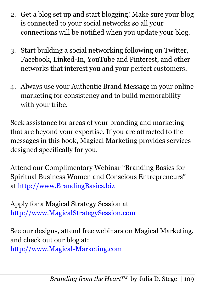- 2. Get a blog set up and start blogging! Make sure your blog is connected to your social networks so all your connections will be notified when you update your blog.
- 3. Start building a social networking following on Twitter, Facebook, Linked-In, YouTube and Pinterest, and other networks that interest you and your perfect customers.
- 4. Always use your Authentic Brand Message in your online marketing for consistency and to build memorability with your tribe.

Seek assistance for areas of your branding and marketing that are beyond your expertise. If you are attracted to the messages in this book, Magical Marketing provides services designed specifically for you.

Attend our Complimentary Webinar "Branding Basics for Spiritual Business Women and Conscious Entrepreneurs" at [http://www.BrandingBasics.biz](http://www.brandingbasics.biz/)

10. Apply for a Magical Strategy Session at [http://www.MagicalStrategySession.com](http://www.magicalstrategysession.com/)

See our designs, attend free webinars on Magical Marketing, and check out our blog at: [http://www.Magical-Marketing.com](http://www.magical-marketing.com/)